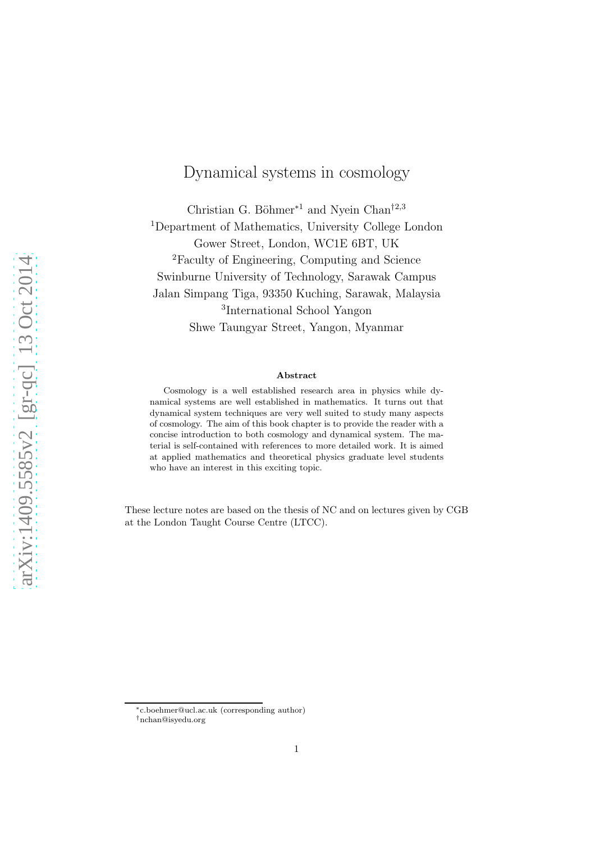# Dynamical systems in cosmology

Christian G. Böhmer<sup>∗1</sup> and Nyein Chan<sup>†2,3</sup> <sup>1</sup>Department of Mathematics, University College London Gower Street, London, WC1E 6BT, UK <sup>2</sup>Faculty of Engineering, Computing and Science Swinburne University of Technology, Sarawak Campus Jalan Simpang Tiga, 93350 Kuching, Sarawak, Malaysia 3 International School Yangon Shwe Taungyar Street, Yangon, Myanmar

#### Abstract

Cosmology is a well established research area in physics while dynamical systems are well established in mathematics. It turns out that dynamical system techniques are very well suited to study many aspects of cosmology. The aim of this book chapter is to provide the reader with a concise introduction to both cosmology and dynamical system. The material is self-contained with references to more detailed work. It is aimed at applied mathematics and theoretical physics graduate level students who have an interest in this exciting topic.

These lecture notes are based on the thesis of NC and on lectures given by CGB at the London Taught Course Centre (LTCC).

<sup>∗</sup>c.boehmer@ucl.ac.uk (corresponding author)

<sup>†</sup>nchan@isyedu.org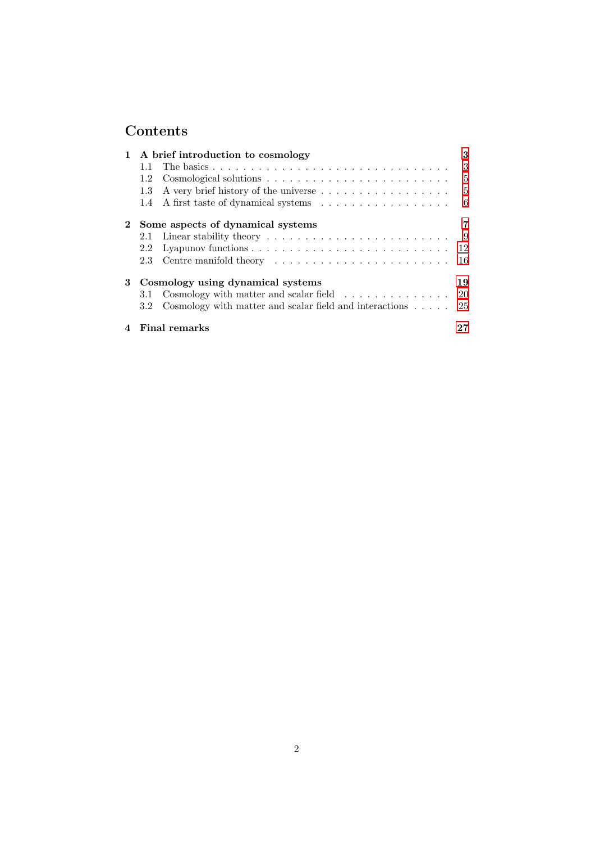# Contents

|   |                                   | 1 A brief introduction to cosmology                                             | 3   |  |  |
|---|-----------------------------------|---------------------------------------------------------------------------------|-----|--|--|
|   | 1.1                               |                                                                                 | 3   |  |  |
|   | 1.2                               |                                                                                 | -5  |  |  |
|   | 1.3                               |                                                                                 | -5  |  |  |
|   | 1.4                               |                                                                                 | - 6 |  |  |
|   | Some aspects of dynamical systems |                                                                                 |     |  |  |
|   | 2.1                               | Linear stability theory $\dots \dots \dots \dots \dots \dots \dots \dots \dots$ | - 9 |  |  |
|   | 2.2                               |                                                                                 | 12  |  |  |
|   | 2.3                               |                                                                                 | -16 |  |  |
| 3 | Cosmology using dynamical systems |                                                                                 |     |  |  |
|   | 3.1                               | Cosmology with matter and scalar field $\ldots \ldots \ldots \ldots 20$         |     |  |  |
|   | $3.2^{\circ}$                     | Cosmology with matter and scalar field and interactions $\dots$ .               | 25  |  |  |
|   |                                   | <b>Final remarks</b>                                                            |     |  |  |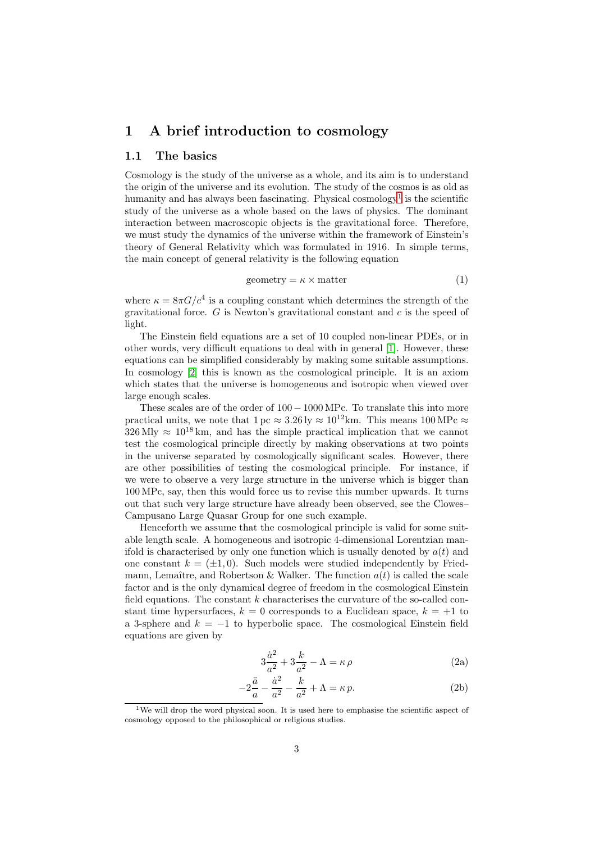## <span id="page-2-0"></span>1 A brief introduction to cosmology

## <span id="page-2-1"></span>1.1 The basics

Cosmology is the study of the universe as a whole, and its aim is to understand the origin of the universe and its evolution. The study of the cosmos is as old as humanity and has always been fascinating. Physical cosmology<sup>[1](#page-2-2)</sup> is the scientific study of the universe as a whole based on the laws of physics. The dominant interaction between macroscopic objects is the gravitational force. Therefore, we must study the dynamics of the universe within the framework of Einstein's theory of General Relativity which was formulated in 1916. In simple terms, the main concept of general relativity is the following equation

$$
geometry = \kappa \times matter
$$
 (1)

where  $\kappa = 8\pi G/c^4$  is a coupling constant which determines the strength of the gravitational force.  $G$  is Newton's gravitational constant and  $c$  is the speed of light.

The Einstein field equations are a set of 10 coupled non-linear PDEs, or in other words, very difficult equations to deal with in general [\[1\]](#page-27-0). However, these equations can be simplified considerably by making some suitable assumptions. In cosmology [\[2\]](#page-27-1) this is known as the cosmological principle. It is an axiom which states that the universe is homogeneous and isotropic when viewed over large enough scales.

These scales are of the order of 100− 1000 MPc. To translate this into more practical units, we note that  $1 pc \approx 3.26 \text{ ly } \approx 10^{12} \text{ km}$ . This means  $100 \text{ MPc} \approx$  $326 \text{ Mly} \approx 10^{18} \text{ km}$ , and has the simple practical implication that we cannot test the cosmological principle directly by making observations at two points in the universe separated by cosmologically significant scales. However, there are other possibilities of testing the cosmological principle. For instance, if we were to observe a very large structure in the universe which is bigger than 100 MPc, say, then this would force us to revise this number upwards. It turns out that such very large structure have already been observed, see the Clowes– Campusano Large Quasar Group for one such example.

Henceforth we assume that the cosmological principle is valid for some suitable length scale. A homogeneous and isotropic 4-dimensional Lorentzian manifold is characterised by only one function which is usually denoted by  $a(t)$  and one constant  $k = (\pm 1, 0)$ . Such models were studied independently by Friedmann, Lemaître, and Robertson & Walker. The function  $a(t)$  is called the scale factor and is the only dynamical degree of freedom in the cosmological Einstein field equations. The constant  $k$  characterises the curvature of the so-called constant time hypersurfaces,  $k = 0$  corresponds to a Euclidean space,  $k = +1$  to a 3-sphere and  $k = -1$  to hyperbolic space. The cosmological Einstein field equations are given by

<span id="page-2-4"></span><span id="page-2-3"></span>
$$
3\frac{\dot{a}^2}{a^2} + 3\frac{k}{a^2} - \Lambda = \kappa \rho \tag{2a}
$$

$$
-2\frac{\ddot{a}}{a} - \frac{\dot{a}^2}{a^2} - \frac{k}{a^2} + \Lambda = \kappa p.
$$
 (2b)

<span id="page-2-2"></span><sup>&</sup>lt;sup>1</sup>We will drop the word physical soon. It is used here to emphasise the scientific aspect of cosmology opposed to the philosophical or religious studies.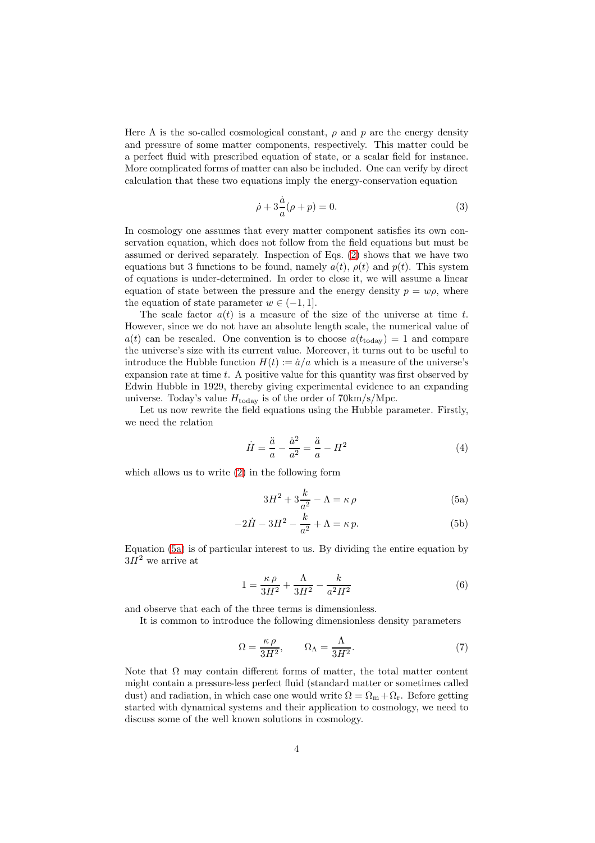Here  $\Lambda$  is the so-called cosmological constant,  $\rho$  and  $p$  are the energy density and pressure of some matter components, respectively. This matter could be a perfect fluid with prescribed equation of state, or a scalar field for instance. More complicated forms of matter can also be included. One can verify by direct calculation that these two equations imply the energy-conservation equation

<span id="page-3-1"></span>
$$
\dot{\rho} + 3\frac{\dot{a}}{a}(\rho + p) = 0.
$$
\n(3)

In cosmology one assumes that every matter component satisfies its own conservation equation, which does not follow from the field equations but must be assumed or derived separately. Inspection of Eqs. [\(2\)](#page-2-3) shows that we have two equations but 3 functions to be found, namely  $a(t)$ ,  $\rho(t)$  and  $p(t)$ . This system of equations is under-determined. In order to close it, we will assume a linear equation of state between the pressure and the energy density  $p = w\rho$ , where the equation of state parameter  $w \in (-1, 1]$ .

The scale factor  $a(t)$  is a measure of the size of the universe at time t. However, since we do not have an absolute length scale, the numerical value of  $a(t)$  can be rescaled. One convention is to choose  $a(t_{\text{today}}) = 1$  and compare the universe's size with its current value. Moreover, it turns out to be useful to introduce the Hubble function  $H(t) := \dot{a}/a$  which is a measure of the universe's expansion rate at time  $t$ . A positive value for this quantity was first observed by Edwin Hubble in 1929, thereby giving experimental evidence to an expanding universe. Today's value  $H_{\text{today}}$  is of the order of  $70 \text{km/s/Mpc}$ .

Let us now rewrite the field equations using the Hubble parameter. Firstly, we need the relation

$$
\dot{H} = \frac{\ddot{a}}{a} - \frac{\dot{a}^2}{a^2} = \frac{\ddot{a}}{a} - H^2
$$
 (4)

which allows us to write [\(2\)](#page-2-3) in the following form

<span id="page-3-0"></span>
$$
3H^2 + 3\frac{k}{a^2} - \Lambda = \kappa \,\rho \tag{5a}
$$

$$
-2\dot{H} - 3H^2 - \frac{k}{a^2} + \Lambda = \kappa p.
$$
 (5b)

Equation [\(5a\)](#page-3-0) is of particular interest to us. By dividing the entire equation by  $3H^2$  we arrive at

$$
1 = \frac{\kappa \rho}{3H^2} + \frac{\Lambda}{3H^2} - \frac{k}{a^2H^2}
$$
 (6)

and observe that each of the three terms is dimensionless.

It is common to introduce the following dimensionless density parameters

<span id="page-3-2"></span>
$$
\Omega = \frac{\kappa \,\rho}{3H^2}, \qquad \Omega_{\Lambda} = \frac{\Lambda}{3H^2}.
$$
\n(7)

Note that  $\Omega$  may contain different forms of matter, the total matter content might contain a pressure-less perfect fluid (standard matter or sometimes called dust) and radiation, in which case one would write  $\Omega = \Omega_{\rm m} + \Omega_{\rm r}$ . Before getting started with dynamical systems and their application to cosmology, we need to discuss some of the well known solutions in cosmology.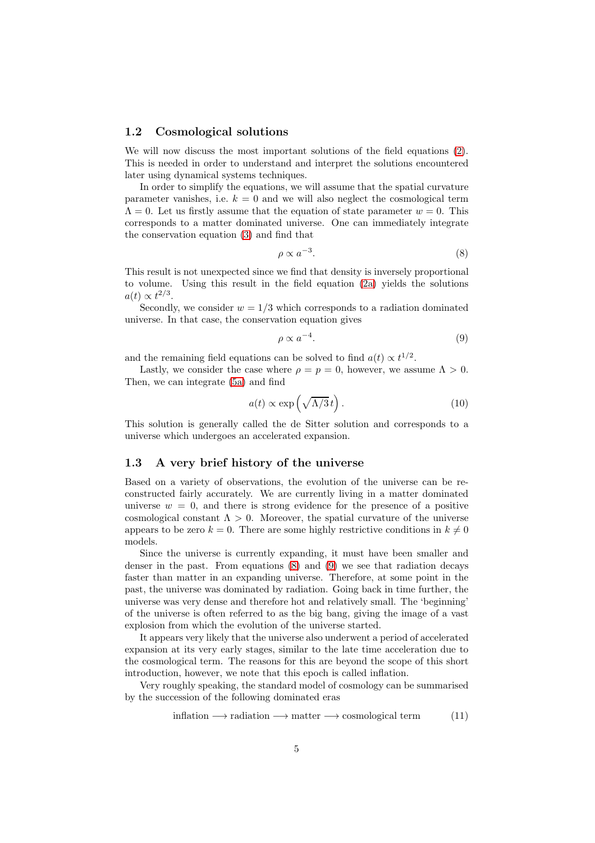### <span id="page-4-0"></span>1.2 Cosmological solutions

We will now discuss the most important solutions of the field equations [\(2\)](#page-2-3). This is needed in order to understand and interpret the solutions encountered later using dynamical systems techniques.

In order to simplify the equations, we will assume that the spatial curvature parameter vanishes, i.e.  $k = 0$  and we will also neglect the cosmological term  $\Lambda = 0$ . Let us firstly assume that the equation of state parameter  $w = 0$ . This corresponds to a matter dominated universe. One can immediately integrate the conservation equation [\(3\)](#page-3-1) and find that

<span id="page-4-2"></span>
$$
\rho \propto a^{-3}.\tag{8}
$$

This result is not unexpected since we find that density is inversely proportional to volume. Using this result in the field equation [\(2a\)](#page-2-4) yields the solutions  $a(t) \propto t^{2/3}$ .

Secondly, we consider  $w = 1/3$  which corresponds to a radiation dominated universe. In that case, the conservation equation gives

<span id="page-4-3"></span>
$$
\rho \propto a^{-4}.\tag{9}
$$

and the remaining field equations can be solved to find  $a(t) \propto t^{1/2}$ .

Lastly, we consider the case where  $\rho = p = 0$ , however, we assume  $\Lambda > 0$ . Then, we can integrate [\(5a\)](#page-3-0) and find

$$
a(t) \propto \exp\left(\sqrt{\Lambda/3}t\right). \tag{10}
$$

This solution is generally called the de Sitter solution and corresponds to a universe which undergoes an accelerated expansion.

#### <span id="page-4-1"></span>1.3 A very brief history of the universe

Based on a variety of observations, the evolution of the universe can be reconstructed fairly accurately. We are currently living in a matter dominated universe  $w = 0$ , and there is strong evidence for the presence of a positive cosmological constant  $\Lambda > 0$ . Moreover, the spatial curvature of the universe appears to be zero  $k = 0$ . There are some highly restrictive conditions in  $k \neq 0$ models.

Since the universe is currently expanding, it must have been smaller and denser in the past. From equations [\(8\)](#page-4-2) and [\(9\)](#page-4-3) we see that radiation decays faster than matter in an expanding universe. Therefore, at some point in the past, the universe was dominated by radiation. Going back in time further, the universe was very dense and therefore hot and relatively small. The 'beginning' of the universe is often referred to as the big bang, giving the image of a vast explosion from which the evolution of the universe started.

It appears very likely that the universe also underwent a period of accelerated expansion at its very early stages, similar to the late time acceleration due to the cosmological term. The reasons for this are beyond the scope of this short introduction, however, we note that this epoch is called inflation.

Very roughly speaking, the standard model of cosmology can be summarised by the succession of the following dominated eras

<span id="page-4-4"></span>
$$
inflation \longrightarrow radiation \longrightarrow matter \longrightarrow cosmological term
$$
 (11)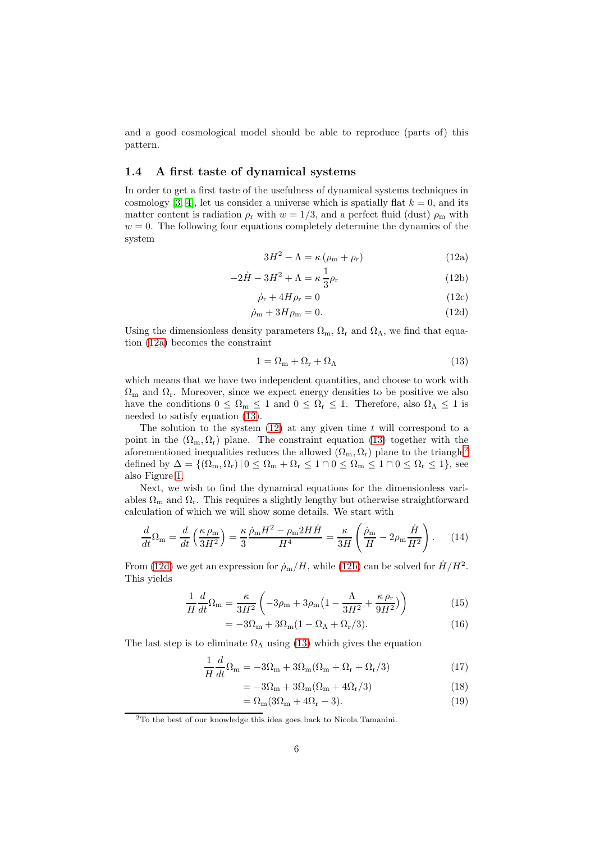and a good cosmological model should be able to reproduce (parts of) this pattern.

## <span id="page-5-0"></span>1.4 A first taste of dynamical systems

<span id="page-5-3"></span>In order to get a first taste of the usefulness of dynamical systems techniques in cosmology [\[3,](#page-27-2) [4\]](#page-27-3), let us consider a universe which is spatially flat  $k = 0$ , and its matter content is radiation  $\rho_r$  with  $w = 1/3$ , and a perfect fluid (dust)  $\rho_m$  with  $w = 0$ . The following four equations completely determine the dynamics of the system

<span id="page-5-6"></span><span id="page-5-1"></span>
$$
3H^2 - \Lambda = \kappa \left( \rho_m + \rho_r \right) \tag{12a}
$$

$$
2\dot{H} - 3H^2 + \Lambda = \kappa \frac{1}{3}\rho_r \tag{12b}
$$
\n
$$
\dot{\gamma} + 4H\gamma = 0 \tag{12c}
$$

$$
\dot{\rho}_{\rm r} + 4H\rho_{\rm r} = 0\tag{12c}
$$

<span id="page-5-5"></span>
$$
\dot{\rho}_{\rm m} + 3H\rho_{\rm m} = 0. \tag{12d}
$$

Using the dimensionless density parameters  $\Omega_{\rm m}$ ,  $\Omega_{\rm r}$  and  $\Omega_{\Lambda}$ , we find that equation [\(12a\)](#page-5-1) becomes the constraint

<span id="page-5-2"></span>
$$
1 = \Omega_{\rm m} + \Omega_{\rm r} + \Omega_{\Lambda} \tag{13}
$$

which means that we have two independent quantities, and choose to work with  $\Omega_{\rm m}$  and  $\Omega_{\rm r}$ . Moreover, since we expect energy densities to be positive we also have the conditions  $0 \leq \Omega_m \leq 1$  and  $0 \leq \Omega_r \leq 1$ . Therefore, also  $\Omega_{\Lambda} \leq 1$  is needed to satisfy equation [\(13\)](#page-5-2).

The solution to the system  $(12)$  at any given time t will correspond to a point in the  $(\Omega_{\rm m}, \Omega_{\rm r})$  plane. The constraint equation [\(13\)](#page-5-2) together with the aforementioned inequalities reduces the allowed  $(\Omega_{\rm m}, \Omega_{\rm r})$  plane to the triangle<sup>[2](#page-5-4)</sup> defined by  $\Delta = \{(\Omega_m, \Omega_r) | 0 \leq \Omega_m + \Omega_r \leq 1 \cap 0 \leq \Omega_m \leq 1 \cap 0 \leq \Omega_r \leq 1\}$ , see also Figure [1.](#page-6-1)

Next, we wish to find the dynamical equations for the dimensionless variables  $\Omega_m$  and  $\Omega_r$ . This requires a slightly lengthy but otherwise straightforward calculation of which we will show some details. We start with

$$
\frac{d}{dt}\Omega_{\rm m} = \frac{d}{dt}\left(\frac{\kappa \,\rho_{\rm m}}{3H^2}\right) = \frac{\kappa}{3}\frac{\dot{\rho}_{\rm m}H^2 - \rho_{\rm m}2H\dot{H}}{H^4} = \frac{\kappa}{3H}\left(\frac{\dot{\rho}_{\rm m}}{H} - 2\rho_{\rm m}\frac{\dot{H}}{H^2}\right). \tag{14}
$$

From [\(12d\)](#page-5-5) we get an expression for  $\dot{\rho}_{\rm m}/H$ , while [\(12b\)](#page-5-6) can be solved for  $\dot{H}/H^2$ . This yields

$$
\frac{1}{H}\frac{d}{dt}\Omega_{\rm m} = \frac{\kappa}{3H^2} \left(-3\rho_{\rm m} + 3\rho_{\rm m}\left(1 - \frac{\Lambda}{3H^2} + \frac{\kappa \rho_{\rm r}}{9H^2}\right)\right) \tag{15}
$$

$$
= -3\Omega_{\rm m} + 3\Omega_{\rm m}(1 - \Omega_{\Lambda} + \Omega_{\rm r}/3). \tag{16}
$$

The last step is to eliminate  $\Omega_{\Lambda}$  using [\(13\)](#page-5-2) which gives the equation

$$
\frac{1}{H}\frac{d}{dt}\Omega_{\rm m} = -3\Omega_{\rm m} + 3\Omega_{\rm m}(\Omega_{\rm m} + \Omega_{\rm r} + \Omega_{\rm r}/3)
$$
\n(17)

$$
= -3\Omega_{\rm m} + 3\Omega_{\rm m} (\Omega_{\rm m} + 4\Omega_{\rm r}/3) \tag{18}
$$

$$
=\Omega_{\rm m}(3\Omega_{\rm m}+4\Omega_{\rm r}-3). \tag{19}
$$

<span id="page-5-4"></span><sup>2</sup>To the best of our knowledge this idea goes back to Nicola Tamanini.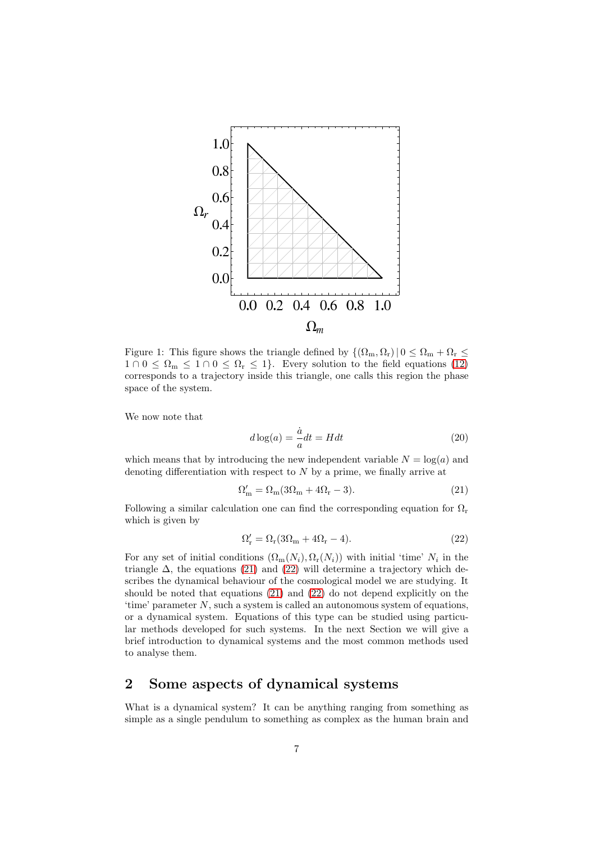

<span id="page-6-1"></span>Figure 1: This figure shows the triangle defined by  $\{(\Omega_m, \Omega_r) | 0 \leq \Omega_m + \Omega_r \leq \Omega_r\}$  $1 \cap 0 \leq \Omega_{\text{m}} \leq 1 \cap 0 \leq \Omega_{\text{r}} \leq 1$ . Every solution to the field equations [\(12\)](#page-5-3) corresponds to a trajectory inside this triangle, one calls this region the phase space of the system.

We now note that

<span id="page-6-2"></span>
$$
d\log(a) = \frac{\dot{a}}{a}dt = Hdt
$$
\n(20)

which means that by introducing the new independent variable  $N = \log(a)$  and denoting differentiation with respect to  $N$  by a prime, we finally arrive at

$$
\Omega'_{m} = \Omega_{m}(3\Omega_{m} + 4\Omega_{r} - 3). \tag{21}
$$

Following a similar calculation one can find the corresponding equation for  $\Omega_r$ which is given by

<span id="page-6-3"></span>
$$
\Omega_{\rm r}' = \Omega_{\rm r}(3\Omega_{\rm m} + 4\Omega_{\rm r} - 4). \tag{22}
$$

For any set of initial conditions  $(\Omega_m(N_i), \Omega_r(N_i))$  with initial 'time'  $N_i$  in the triangle  $\Delta$ , the equations [\(21\)](#page-6-2) and [\(22\)](#page-6-3) will determine a trajectory which describes the dynamical behaviour of the cosmological model we are studying. It should be noted that equations [\(21\)](#page-6-2) and [\(22\)](#page-6-3) do not depend explicitly on the 'time' parameter N, such a system is called an autonomous system of equations, or a dynamical system. Equations of this type can be studied using particular methods developed for such systems. In the next Section we will give a brief introduction to dynamical systems and the most common methods used to analyse them.

## <span id="page-6-0"></span>2 Some aspects of dynamical systems

What is a dynamical system? It can be anything ranging from something as simple as a single pendulum to something as complex as the human brain and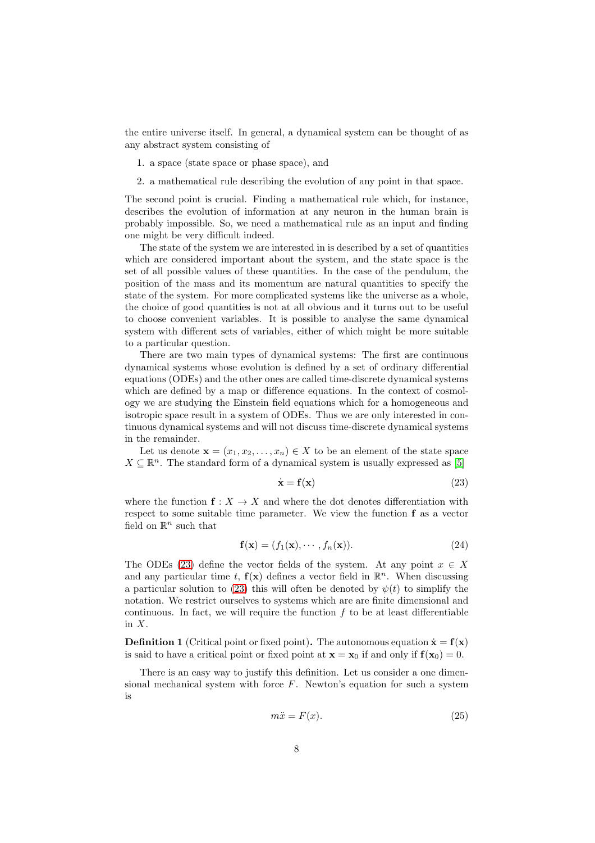the entire universe itself. In general, a dynamical system can be thought of as any abstract system consisting of

- 1. a space (state space or phase space), and
- 2. a mathematical rule describing the evolution of any point in that space.

The second point is crucial. Finding a mathematical rule which, for instance, describes the evolution of information at any neuron in the human brain is probably impossible. So, we need a mathematical rule as an input and finding one might be very difficult indeed.

The state of the system we are interested in is described by a set of quantities which are considered important about the system, and the state space is the set of all possible values of these quantities. In the case of the pendulum, the position of the mass and its momentum are natural quantities to specify the state of the system. For more complicated systems like the universe as a whole, the choice of good quantities is not at all obvious and it turns out to be useful to choose convenient variables. It is possible to analyse the same dynamical system with different sets of variables, either of which might be more suitable to a particular question.

There are two main types of dynamical systems: The first are continuous dynamical systems whose evolution is defined by a set of ordinary differential equations (ODEs) and the other ones are called time-discrete dynamical systems which are defined by a map or difference equations. In the context of cosmology we are studying the Einstein field equations which for a homogeneous and isotropic space result in a system of ODEs. Thus we are only interested in continuous dynamical systems and will not discuss time-discrete dynamical systems in the remainder.

Let us denote  $\mathbf{x} = (x_1, x_2, \dots, x_n) \in X$  to be an element of the state space  $X \subseteq \mathbb{R}^n.$  The standard form of a dynamical system is usually expressed as [\[5\]](#page-27-4)

<span id="page-7-0"></span>
$$
\dot{\mathbf{x}} = \mathbf{f}(\mathbf{x}) \tag{23}
$$

where the function  $f: X \to X$  and where the dot denotes differentiation with respect to some suitable time parameter. We view the function f as a vector field on  $\mathbb{R}^n$  such that

$$
\mathbf{f}(\mathbf{x}) = (f_1(\mathbf{x}), \cdots, f_n(\mathbf{x})).
$$
\n(24)

The ODEs [\(23\)](#page-7-0) define the vector fields of the system. At any point  $x \in X$ and any particular time t,  $f(x)$  defines a vector field in  $\mathbb{R}^n$ . When discussing a particular solution to [\(23\)](#page-7-0) this will often be denoted by  $\psi(t)$  to simplify the notation. We restrict ourselves to systems which are are finite dimensional and continuous. In fact, we will require the function  $f$  to be at least differentiable in X.

<span id="page-7-2"></span>**Definition 1** (Critical point or fixed point). The autonomous equation  $\dot{\mathbf{x}} = \mathbf{f}(\mathbf{x})$ is said to have a critical point or fixed point at  $\mathbf{x} = \mathbf{x}_0$  if and only if  $\mathbf{f}(\mathbf{x}_0) = 0$ .

There is an easy way to justify this definition. Let us consider a one dimensional mechanical system with force  $F$ . Newton's equation for such a system is

<span id="page-7-1"></span>
$$
m\ddot{x} = F(x). \tag{25}
$$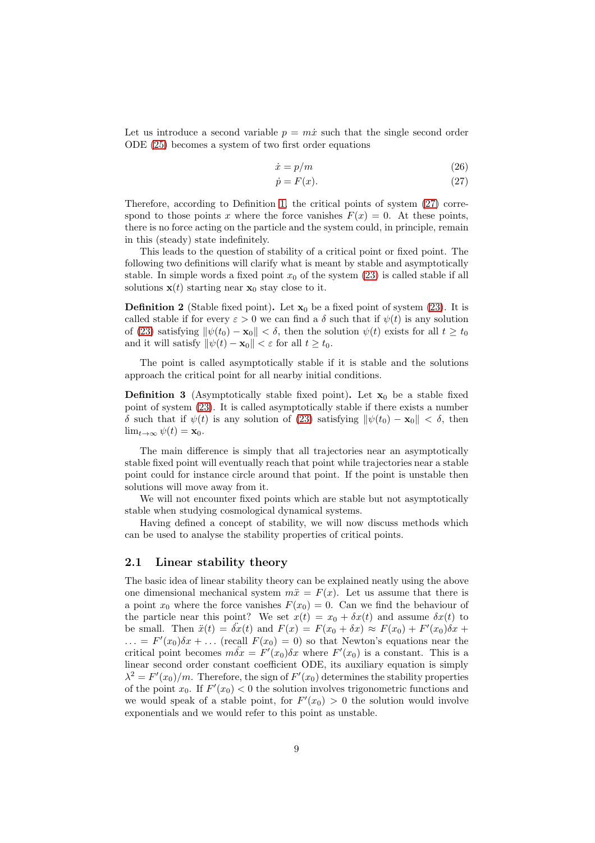Let us introduce a second variable  $p = m\dot{x}$  such that the single second order ODE [\(25\)](#page-7-1) becomes a system of two first order equations

$$
\dot{x} = p/m \tag{26}
$$

<span id="page-8-1"></span>
$$
\dot{p} = F(x). \tag{27}
$$

Therefore, according to Definition [1,](#page-7-2) the critical points of system [\(27\)](#page-8-1) correspond to those points x where the force vanishes  $F(x) = 0$ . At these points, there is no force acting on the particle and the system could, in principle, remain in this (steady) state indefinitely.

This leads to the question of stability of a critical point or fixed point. The following two definitions will clarify what is meant by stable and asymptotically stable. In simple words a fixed point  $x_0$  of the system [\(23\)](#page-7-0) is called stable if all solutions  $\mathbf{x}(t)$  starting near  $\mathbf{x}_0$  stay close to it.

**Definition 2** (Stable fixed point). Let  $\mathbf{x}_0$  be a fixed point of system [\(23\)](#page-7-0). It is called stable if for every  $\varepsilon > 0$  we can find a  $\delta$  such that if  $\psi(t)$  is any solution of [\(23\)](#page-7-0) satisfying  $\|\psi(t_0) - \mathbf{x}_0\| < \delta$ , then the solution  $\psi(t)$  exists for all  $t \geq t_0$ and it will satisfy  $\|\psi(t) - \mathbf{x}_0\| < \varepsilon$  for all  $t \ge t_0$ .

The point is called asymptotically stable if it is stable and the solutions approach the critical point for all nearby initial conditions.

**Definition 3** (Asymptotically stable fixed point). Let  $x_0$  be a stable fixed point of system [\(23\)](#page-7-0). It is called asymptotically stable if there exists a number δ such that if  $\psi(t)$  is any solution of [\(23\)](#page-7-0) satisfying  $\|\psi(t_0) - \mathbf{x}_0\| < \delta$ , then  $\lim_{t\to\infty}\psi(t)=\mathbf{x}_0.$ 

The main difference is simply that all trajectories near an asymptotically stable fixed point will eventually reach that point while trajectories near a stable point could for instance circle around that point. If the point is unstable then solutions will move away from it.

We will not encounter fixed points which are stable but not asymptotically stable when studying cosmological dynamical systems.

Having defined a concept of stability, we will now discuss methods which can be used to analyse the stability properties of critical points.

## <span id="page-8-0"></span>2.1 Linear stability theory

The basic idea of linear stability theory can be explained neatly using the above one dimensional mechanical system  $m\ddot{x} = F(x)$ . Let us assume that there is a point  $x_0$  where the force vanishes  $F(x_0) = 0$ . Can we find the behaviour of the particle near this point? We set  $x(t) = x_0 + \delta x(t)$  and assume  $\delta x(t)$  to be small. Then  $\ddot{x}(t) = \ddot{\delta x}(t)$  and  $F(x) = F(x_0 + \delta x) \approx F(x_0) + F'(x_0)\dot{\delta x} +$  $\ldots = F'(x_0)\delta x + \ldots$  (recall  $F(x_0) = 0$ ) so that Newton's equations near the critical point becomes  $m\ddot{\delta x} = F'(x_0)\delta x$  where  $F'(x_0)$  is a constant. This is a linear second order constant coefficient ODE, its auxiliary equation is simply  $\lambda^2 = F'(x_0)/m$ . Therefore, the sign of  $F'(x_0)$  determines the stability properties of the point  $x_0$ . If  $F'(x_0) < 0$  the solution involves trigonometric functions and we would speak of a stable point, for  $F'(x_0) > 0$  the solution would involve exponentials and we would refer to this point as unstable.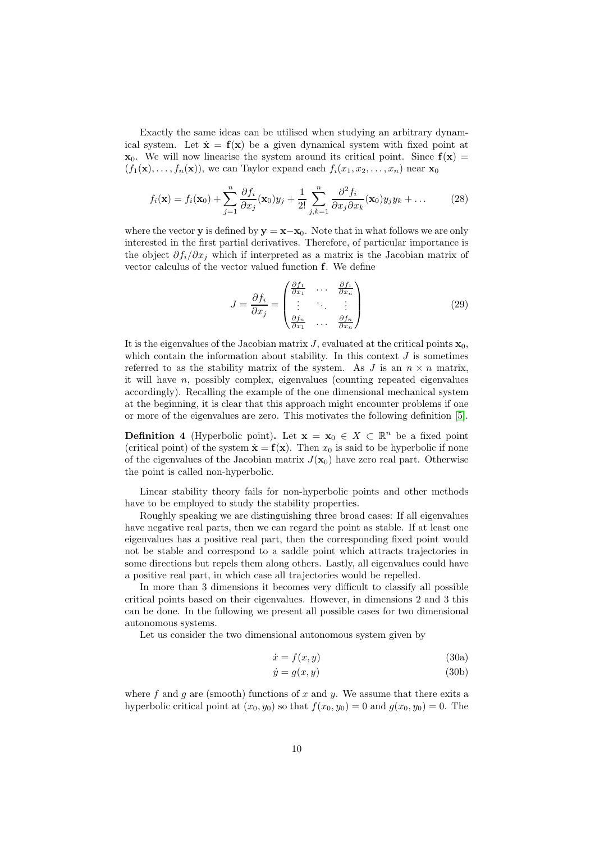Exactly the same ideas can be utilised when studying an arbitrary dynamical system. Let  $\dot{\mathbf{x}} = \mathbf{f}(\mathbf{x})$  be a given dynamical system with fixed point at  $\mathbf{x}_0$ . We will now linearise the system around its critical point. Since  $\mathbf{f}(\mathbf{x}) =$  $(f_1(\mathbf{x}), \ldots, f_n(\mathbf{x}))$ , we can Taylor expand each  $f_i(x_1, x_2, \ldots, x_n)$  near  $\mathbf{x}_0$ 

$$
f_i(\mathbf{x}) = f_i(\mathbf{x}_0) + \sum_{j=1}^n \frac{\partial f_i}{\partial x_j}(\mathbf{x}_0) y_j + \frac{1}{2!} \sum_{j,k=1}^n \frac{\partial^2 f_i}{\partial x_j \partial x_k}(\mathbf{x}_0) y_j y_k + \dots \tag{28}
$$

where the vector **y** is defined by  $y = x-x_0$ . Note that in what follows we are only interested in the first partial derivatives. Therefore, of particular importance is the object  $\partial f_i/\partial x_j$  which if interpreted as a matrix is the Jacobian matrix of vector calculus of the vector valued function f. We define

<span id="page-9-0"></span>
$$
J = \frac{\partial f_i}{\partial x_j} = \begin{pmatrix} \frac{\partial f_1}{\partial x_1} & \cdots & \frac{\partial f_1}{\partial x_n} \\ \vdots & \ddots & \vdots \\ \frac{\partial f_n}{\partial x_1} & \cdots & \frac{\partial f_n}{\partial x_n} \end{pmatrix}
$$
(29)

It is the eigenvalues of the Jacobian matrix  $J$ , evaluated at the critical points  $\mathbf{x}_0$ , which contain the information about stability. In this context  $J$  is sometimes referred to as the stability matrix of the system. As J is an  $n \times n$  matrix, it will have  $n$ , possibly complex, eigenvalues (counting repeated eigenvalues accordingly). Recalling the example of the one dimensional mechanical system at the beginning, it is clear that this approach might encounter problems if one or more of the eigenvalues are zero. This motivates the following definition [\[5\]](#page-27-4).

**Definition 4** (Hyperbolic point). Let  $\mathbf{x} = \mathbf{x}_0 \in X \subset \mathbb{R}^n$  be a fixed point (critical point) of the system  $\dot{\mathbf{x}} = \mathbf{f}(\mathbf{x})$ . Then  $x_0$  is said to be hyperbolic if none of the eigenvalues of the Jacobian matrix  $J(\mathbf{x}_0)$  have zero real part. Otherwise the point is called non-hyperbolic.

Linear stability theory fails for non-hyperbolic points and other methods have to be employed to study the stability properties.

Roughly speaking we are distinguishing three broad cases: If all eigenvalues have negative real parts, then we can regard the point as stable. If at least one eigenvalues has a positive real part, then the corresponding fixed point would not be stable and correspond to a saddle point which attracts trajectories in some directions but repels them along others. Lastly, all eigenvalues could have a positive real part, in which case all trajectories would be repelled.

In more than 3 dimensions it becomes very difficult to classify all possible critical points based on their eigenvalues. However, in dimensions 2 and 3 this can be done. In the following we present all possible cases for two dimensional autonomous systems.

Let us consider the two dimensional autonomous system given by

$$
\dot{x} = f(x, y) \tag{30a}
$$

$$
\dot{y} = g(x, y) \tag{30b}
$$

where  $f$  and  $g$  are (smooth) functions of  $x$  and  $y$ . We assume that there exits a hyperbolic critical point at  $(x_0, y_0)$  so that  $f(x_0, y_0) = 0$  and  $g(x_0, y_0) = 0$ . The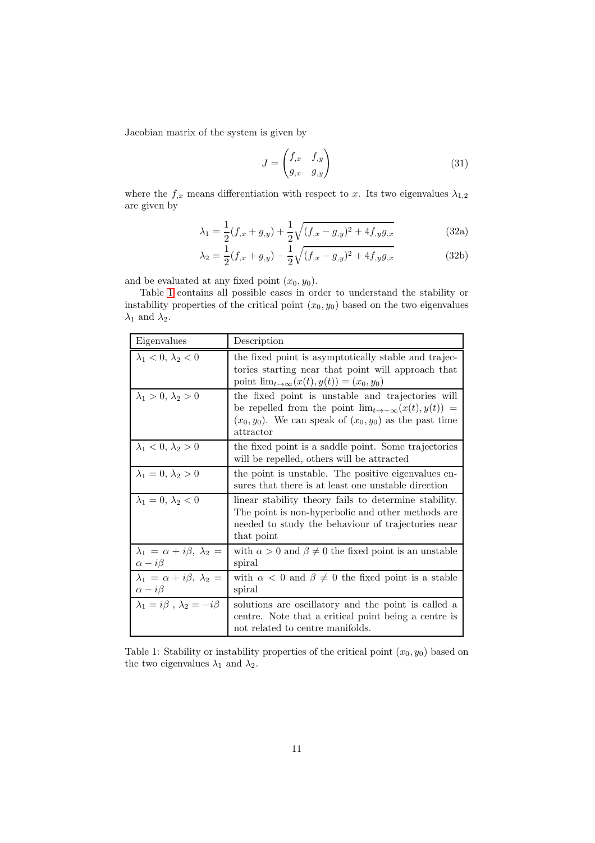Jacobian matrix of the system is given by

$$
J = \begin{pmatrix} f_{,x} & f_{,y} \\ g_{,x} & g_{,y} \end{pmatrix}
$$
 (31)

where the  $f_{,x}$  means differentiation with respect to x. Its two eigenvalues  $\lambda_{1,2}$ are given by

$$
\lambda_1 = \frac{1}{2}(f_{,x} + g_{,y}) + \frac{1}{2}\sqrt{(f_{,x} - g_{,y})^2 + 4f_{,y}g_{,x}} \tag{32a}
$$

$$
\lambda_2 = \frac{1}{2}(f_{,x} + g_{,y}) - \frac{1}{2}\sqrt{(f_{,x} - g_{,y})^2 + 4f_{,y}g_{,x}} \tag{32b}
$$

and be evaluated at any fixed point  $(x_0, y_0)$ .

Table [1](#page-10-0) contains all possible cases in order to understand the stability or instability properties of the critical point  $(x_0, y_0)$  based on the two eigenvalues  $\lambda_1$  and  $\lambda_2$ .

| Eigenvalues                                                     | Description                                                                                                                                                                                   |
|-----------------------------------------------------------------|-----------------------------------------------------------------------------------------------------------------------------------------------------------------------------------------------|
| $\lambda_1 < 0, \lambda_2 < 0$                                  | the fixed point is asymptotically stable and trajec-<br>tories starting near that point will approach that<br>point $\lim_{t\to\infty}(x(t),y(t))=(x_0,y_0)$                                  |
| $\lambda_1 > 0, \lambda_2 > 0$                                  | the fixed point is unstable and trajectories will<br>be repelled from the point $\lim_{t\to-\infty}(x(t),y(t))=$<br>$(x_0, y_0)$ . We can speak of $(x_0, y_0)$ as the past time<br>attractor |
| $\lambda_1 < 0, \lambda_2 > 0$                                  | the fixed point is a saddle point. Some trajectories<br>will be repelled, others will be attracted                                                                                            |
| $\lambda_1=0, \lambda_2>0$                                      | the point is unstable. The positive eigenvalues en-<br>sures that there is at least one unstable direction                                                                                    |
| $\lambda_1=0, \lambda_2<0$                                      | linear stability theory fails to determine stability.<br>The point is non-hyperbolic and other methods are<br>needed to study the behaviour of trajectories near<br>that point                |
| $\lambda_1 = \alpha + i\beta, \lambda_2 =$<br>$\alpha - i\beta$ | with $\alpha > 0$ and $\beta \neq 0$ the fixed point is an unstable<br>spiral                                                                                                                 |
| $\lambda_1 = \alpha + i\beta, \lambda_2 =$<br>$\alpha - i\beta$ | with $\alpha < 0$ and $\beta \neq 0$ the fixed point is a stable<br>spiral                                                                                                                    |
| $\lambda_1 = i\beta$ , $\lambda_2 = -i\beta$                    | solutions are oscillatory and the point is called a<br>centre. Note that a critical point being a centre is<br>not related to centre manifolds.                                               |

<span id="page-10-0"></span>Table 1: Stability or instability properties of the critical point  $(x_0, y_0)$  based on the two eigenvalues  $\lambda_1$  and  $\lambda_2$ .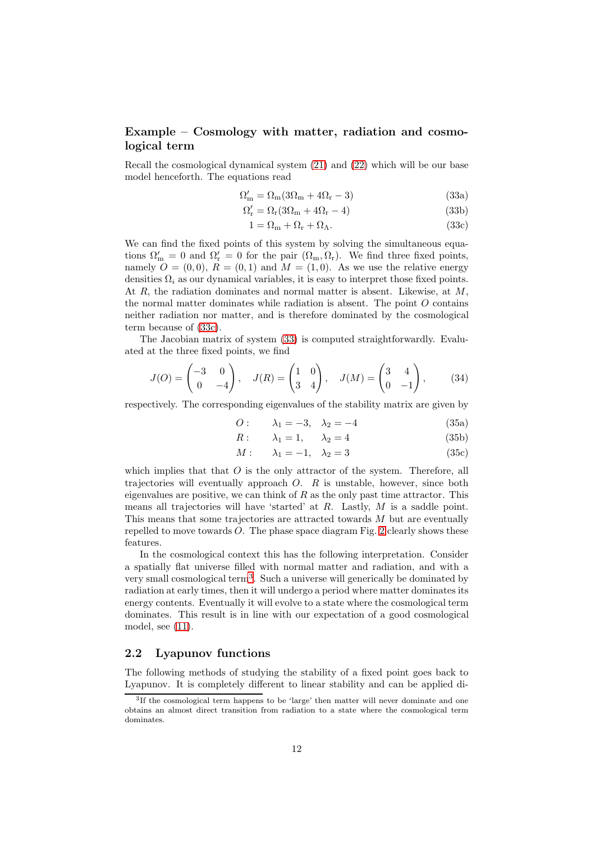## Example – Cosmology with matter, radiation and cosmological term

Recall the cosmological dynamical system [\(21\)](#page-6-2) and [\(22\)](#page-6-3) which will be our base model henceforth. The equations read

<span id="page-11-2"></span>
$$
\Omega'_{\rm m} = \Omega_{\rm m}(3\Omega_{\rm m} + 4\Omega_{\rm r} - 3)
$$
\n(33a)

$$
\Omega_{\rm r}' = \Omega_{\rm r}(3\Omega_{\rm m} + 4\Omega_{\rm r} - 4) \tag{33b}
$$

<span id="page-11-1"></span>
$$
1 = \Omega_{\rm m} + \Omega_{\rm r} + \Omega_{\Lambda}.\tag{33c}
$$

We can find the fixed points of this system by solving the simultaneous equations  $\Omega'_{m} = 0$  and  $\Omega'_{r} = 0$  for the pair  $(\Omega_{m}, \Omega_{r})$ . We find three fixed points, namely  $O = (0, 0)$ ,  $R = (0, 1)$  and  $M = (1, 0)$ . As we use the relative energy densities  $\Omega_i$  as our dynamical variables, it is easy to interpret those fixed points. At  $R$ , the radiation dominates and normal matter is absent. Likewise, at  $M$ , the normal matter dominates while radiation is absent. The point  $O$  contains neither radiation nor matter, and is therefore dominated by the cosmological term because of [\(33c\)](#page-11-1).

The Jacobian matrix of system [\(33\)](#page-11-2) is computed straightforwardly. Evaluated at the three fixed points, we find

$$
J(O) = \begin{pmatrix} -3 & 0 \\ 0 & -4 \end{pmatrix}, \quad J(R) = \begin{pmatrix} 1 & 0 \\ 3 & 4 \end{pmatrix}, \quad J(M) = \begin{pmatrix} 3 & 4 \\ 0 & -1 \end{pmatrix}, \tag{34}
$$

respectively. The corresponding eigenvalues of the stability matrix are given by

*O*: 
$$
\lambda_1 = -3, \lambda_2 = -4
$$
 (35a)

$$
R: \qquad \lambda_1 = 1, \qquad \lambda_2 = 4 \tag{35b}
$$

$$
M: \qquad \lambda_1 = -1, \quad \lambda_2 = 3 \tag{35c}
$$

which implies that that  $O$  is the only attractor of the system. Therefore, all trajectories will eventually approach  $O$ .  $R$  is unstable, however, since both eigenvalues are positive, we can think of  $R$  as the only past time attractor. This means all trajectories will have 'started' at  $R$ . Lastly,  $M$  is a saddle point. This means that some trajectories are attracted towards  $M$  but are eventually repelled to move towards  $O$ . The phase space diagram Fig. [2](#page-12-0) clearly shows these features.

In the cosmological context this has the following interpretation. Consider a spatially flat universe filled with normal matter and radiation, and with a very small cosmological term[3](#page-11-3) . Such a universe will generically be dominated by radiation at early times, then it will undergo a period where matter dominates its energy contents. Eventually it will evolve to a state where the cosmological term dominates. This result is in line with our expectation of a good cosmological model, see [\(11\)](#page-4-4).

### <span id="page-11-0"></span>2.2 Lyapunov functions

The following methods of studying the stability of a fixed point goes back to Lyapunov. It is completely different to linear stability and can be applied di-

<span id="page-11-3"></span><sup>&</sup>lt;sup>3</sup>If the cosmological term happens to be 'large' then matter will never dominate and one obtains an almost direct transition from radiation to a state where the cosmological term dominates.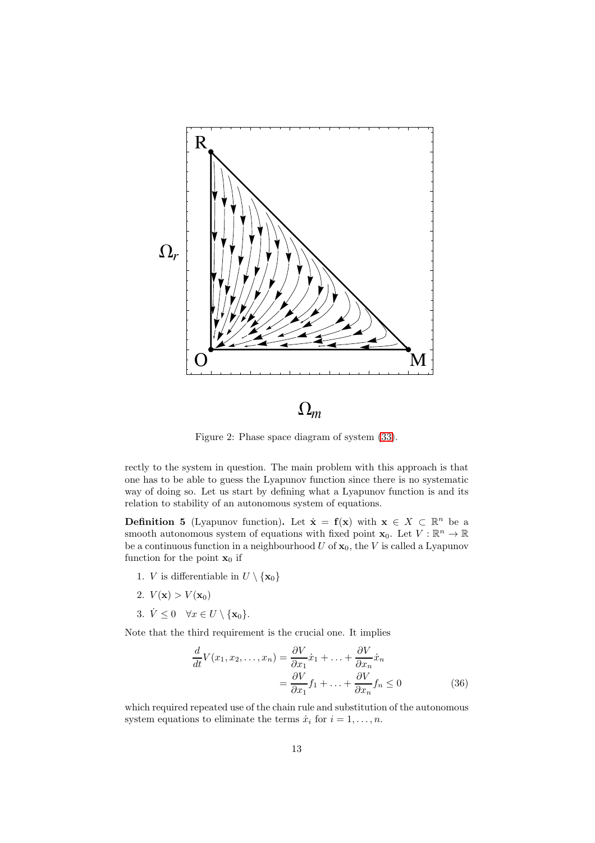

 $\Omega_m$ 

<span id="page-12-0"></span>Figure 2: Phase space diagram of system [\(33\)](#page-11-2).

rectly to the system in question. The main problem with this approach is that one has to be able to guess the Lyapunov function since there is no systematic way of doing so. Let us start by defining what a Lyapunov function is and its relation to stability of an autonomous system of equations.

**Definition 5** (Lyapunov function). Let  $\dot{\mathbf{x}} = \mathbf{f}(\mathbf{x})$  with  $\mathbf{x} \in X \subset \mathbb{R}^n$  be a smooth autonomous system of equations with fixed point  $\mathbf{x}_0$ . Let  $V : \mathbb{R}^n \to \mathbb{R}$ be a continuous function in a neighbourhood  $U$  of  $x_0$ , the V is called a Lyapunov function for the point  $x_0$  if

- 1. *V* is differentiable in  $U \setminus {\mathbf{x}_0}$
- 2.  $V(\mathbf{x}) > V(\mathbf{x}_0)$
- 3.  $\dot{V} \leq 0 \quad \forall x \in U \setminus \{\mathbf{x}_0\}.$

Note that the third requirement is the crucial one. It implies

$$
\frac{d}{dt}V(x_1, x_2, \dots, x_n) = \frac{\partial V}{\partial x_1}\dot{x}_1 + \dots + \frac{\partial V}{\partial x_n}\dot{x}_n
$$

$$
= \frac{\partial V}{\partial x_1}f_1 + \dots + \frac{\partial V}{\partial x_n}f_n \le 0
$$
(36)

which required repeated use of the chain rule and substitution of the autonomous system equations to eliminate the terms  $\dot{x}_i$  for  $i = 1, \ldots, n$ .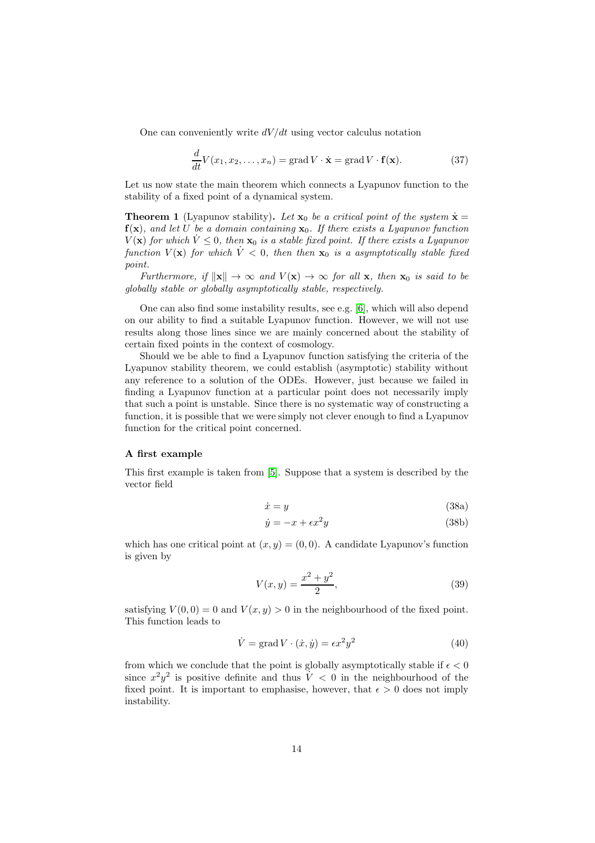One can conveniently write  $dV/dt$  using vector calculus notation

$$
\frac{d}{dt}V(x_1, x_2, \dots, x_n) = \text{grad } V \cdot \dot{\mathbf{x}} = \text{grad } V \cdot \mathbf{f}(\mathbf{x}).\tag{37}
$$

Let us now state the main theorem which connects a Lyapunov function to the stability of a fixed point of a dynamical system.

<span id="page-13-0"></span>**Theorem 1** (Lyapunov stability). Let  $\mathbf{x}_0$  be a critical point of the system  $\dot{\mathbf{x}} =$  $f(x)$ , and let U be a domain containing  $x_0$ . If there exists a Lyapunov function  $V(\mathbf{x})$  for which  $\dot{V} \leq 0$ , then  $\mathbf{x}_0$  is a stable fixed point. If there exists a Lyapunov function  $V(\mathbf{x})$  for which  $\dot{V} < 0$ , then then  $\mathbf{x}_0$  is a asymptotically stable fixed point.

Furthermore, if  $\|\mathbf{x}\| \to \infty$  and  $V(\mathbf{x}) \to \infty$  for all  $\mathbf{x}$ , then  $\mathbf{x}_0$  is said to be globally stable or globally asymptotically stable, respectively.

One can also find some instability results, see e.g. [\[6\]](#page-27-5), which will also depend on our ability to find a suitable Lyapunov function. However, we will not use results along those lines since we are mainly concerned about the stability of certain fixed points in the context of cosmology.

Should we be able to find a Lyapunov function satisfying the criteria of the Lyapunov stability theorem, we could establish (asymptotic) stability without any reference to a solution of the ODEs. However, just because we failed in finding a Lyapunov function at a particular point does not necessarily imply that such a point is unstable. Since there is no systematic way of constructing a function, it is possible that we were simply not clever enough to find a Lyapunov function for the critical point concerned.

#### A first example

This first example is taken from [\[5\]](#page-27-4). Suppose that a system is described by the vector field

$$
\dot{x} = y \tag{38a}
$$

$$
\dot{y} = -x + \epsilon x^2 y \tag{38b}
$$

which has one critical point at  $(x, y) = (0, 0)$ . A candidate Lyapunov's function is given by

$$
V(x,y) = \frac{x^2 + y^2}{2},
$$
\n(39)

satisfying  $V(0,0) = 0$  and  $V(x, y) > 0$  in the neighbourhood of the fixed point. This function leads to

$$
\dot{V} = \text{grad } V \cdot (\dot{x}, \dot{y}) = \epsilon x^2 y^2 \tag{40}
$$

from which we conclude that the point is globally asymptotically stable if  $\epsilon < 0$ since  $x^2y^2$  is positive definite and thus  $\dot{V} < 0$  in the neighbourhood of the fixed point. It is important to emphasise, however, that  $\epsilon > 0$  does not imply instability.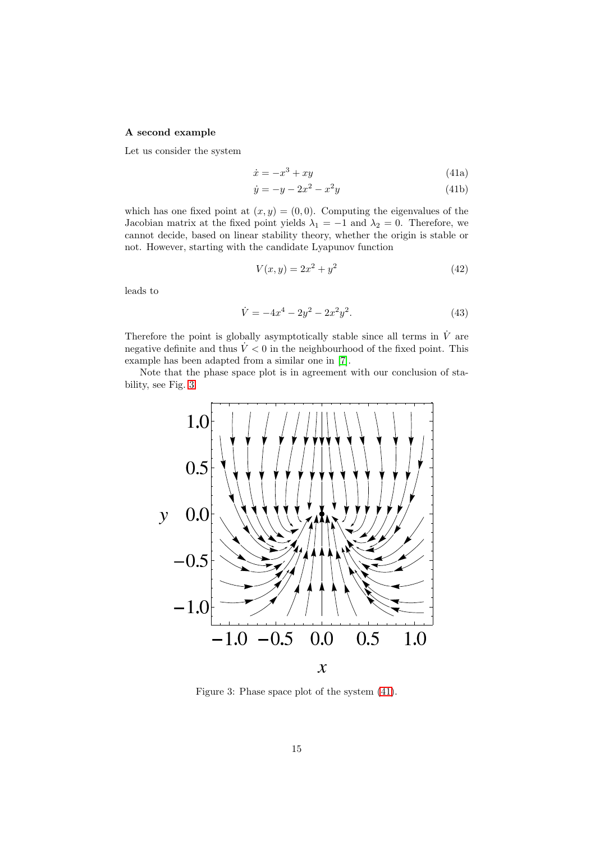### A second example

Let us consider the system

<span id="page-14-1"></span>
$$
\dot{x} = -x^3 + xy \tag{41a}
$$

$$
\dot{y} = -y - 2x^2 - x^2y \tag{41b}
$$

which has one fixed point at  $(x, y) = (0, 0)$ . Computing the eigenvalues of the Jacobian matrix at the fixed point yields  $\lambda_1 = -1$  and  $\lambda_2 = 0$ . Therefore, we cannot decide, based on linear stability theory, whether the origin is stable or not. However, starting with the candidate Lyapunov function

$$
V(x, y) = 2x^2 + y^2
$$
\n(42)

leads to

$$
\dot{V} = -4x^4 - 2y^2 - 2x^2y^2.
$$
\n(43)

Therefore the point is globally asymptotically stable since all terms in  $\dot{V}$  are negative definite and thus  $\dot{V} < 0$  in the neighbourhood of the fixed point. This example has been adapted from a similar one in [\[7\]](#page-27-6).

Note that the phase space plot is in agreement with our conclusion of stability, see Fig. [3.](#page-14-0)



<span id="page-14-0"></span>Figure 3: Phase space plot of the system [\(41\)](#page-14-1).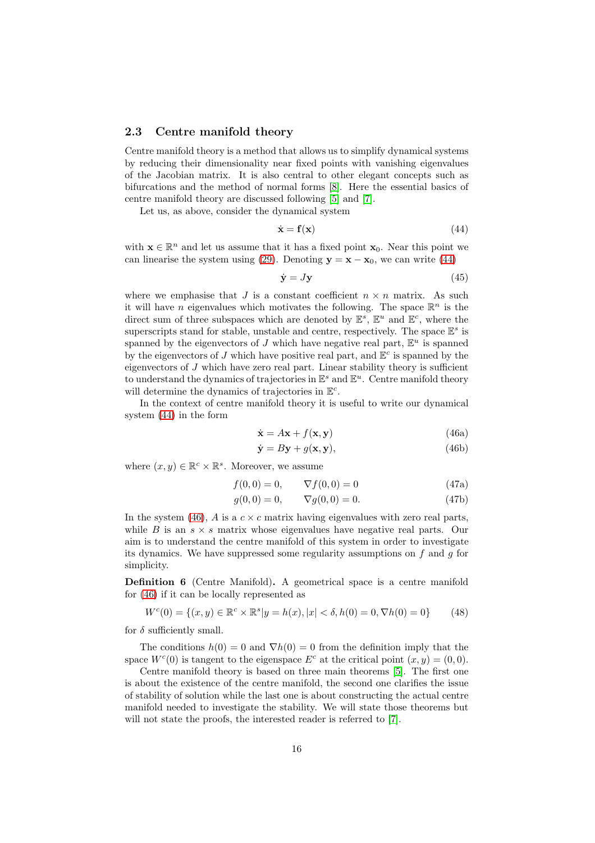### <span id="page-15-0"></span>2.3 Centre manifold theory

Centre manifold theory is a method that allows us to simplify dynamical systems by reducing their dimensionality near fixed points with vanishing eigenvalues of the Jacobian matrix. It is also central to other elegant concepts such as bifurcations and the method of normal forms [\[8\]](#page-27-7). Here the essential basics of centre manifold theory are discussed following [\[5\]](#page-27-4) and [\[7\]](#page-27-6).

Let us, as above, consider the dynamical system

<span id="page-15-1"></span>
$$
\dot{\mathbf{x}} = \mathbf{f}(\mathbf{x}) \tag{44}
$$

with  $\mathbf{x} \in \mathbb{R}^n$  and let us assume that it has a fixed point  $\mathbf{x}_0$ . Near this point we can linearise the system using [\(29\)](#page-9-0). Denoting  $y = x - x_0$ , we can write [\(44\)](#page-15-1)

$$
\dot{\mathbf{y}} = J\mathbf{y} \tag{45}
$$

where we emphasise that J is a constant coefficient  $n \times n$  matrix. As such it will have *n* eigenvalues which motivates the following. The space  $\mathbb{R}^n$  is the direct sum of three subspaces which are denoted by  $\mathbb{E}^s$ ,  $\mathbb{E}^u$  and  $\mathbb{E}^c$ , where the superscripts stand for stable, unstable and centre, respectively. The space  $\mathbb{E}^s$  is spanned by the eigenvectors of J which have negative real part,  $\mathbb{E}^u$  is spanned by the eigenvectors of J which have positive real part, and  $\mathbb{E}^c$  is spanned by the eigenvectors of  $J$  which have zero real part. Linear stability theory is sufficient to understand the dynamics of trajectories in  $\mathbb{E}^s$  and  $\mathbb{E}^u$ . Centre manifold theory will determine the dynamics of trajectories in  $\mathbb{E}^c$ .

In the context of centre manifold theory it is useful to write our dynamical system [\(44\)](#page-15-1) in the form

<span id="page-15-5"></span><span id="page-15-4"></span><span id="page-15-2"></span>
$$
\dot{\mathbf{x}} = A\mathbf{x} + f(\mathbf{x}, \mathbf{y})\tag{46a}
$$

$$
\dot{\mathbf{y}} = B\mathbf{y} + g(\mathbf{x}, \mathbf{y}),\tag{46b}
$$

where  $(x, y) \in \mathbb{R}^c \times \mathbb{R}^s$ . Moreover, we assume

$$
f(0,0) = 0, \qquad \nabla f(0,0) = 0 \tag{47a}
$$

$$
g(0,0) = 0, \qquad \nabla g(0,0) = 0. \tag{47b}
$$

In the system [\(46\)](#page-15-2), A is a  $c \times c$  matrix having eigenvalues with zero real parts, while B is an  $s \times s$  matrix whose eigenvalues have negative real parts. Our aim is to understand the centre manifold of this system in order to investigate its dynamics. We have suppressed some regularity assumptions on  $f$  and  $g$  for simplicity.

<span id="page-15-3"></span>Definition 6 (Centre Manifold). A geometrical space is a centre manifold for [\(46\)](#page-15-2) if it can be locally represented as

$$
W^{c}(0) = \{(x, y) \in \mathbb{R}^{c} \times \mathbb{R}^{s} | y = h(x), |x| < \delta, h(0) = 0, \nabla h(0) = 0\}
$$
 (48)

for  $\delta$  sufficiently small.

The conditions  $h(0) = 0$  and  $\nabla h(0) = 0$  from the definition imply that the space  $W<sup>c</sup>(0)$  is tangent to the eigenspace  $E<sup>c</sup>$  at the critical point  $(x, y) = (0, 0)$ .

Centre manifold theory is based on three main theorems [\[5\]](#page-27-4). The first one is about the existence of the centre manifold, the second one clarifies the issue of stability of solution while the last one is about constructing the actual centre manifold needed to investigate the stability. We will state those theorems but will not state the proofs, the interested reader is referred to [\[7\]](#page-27-6).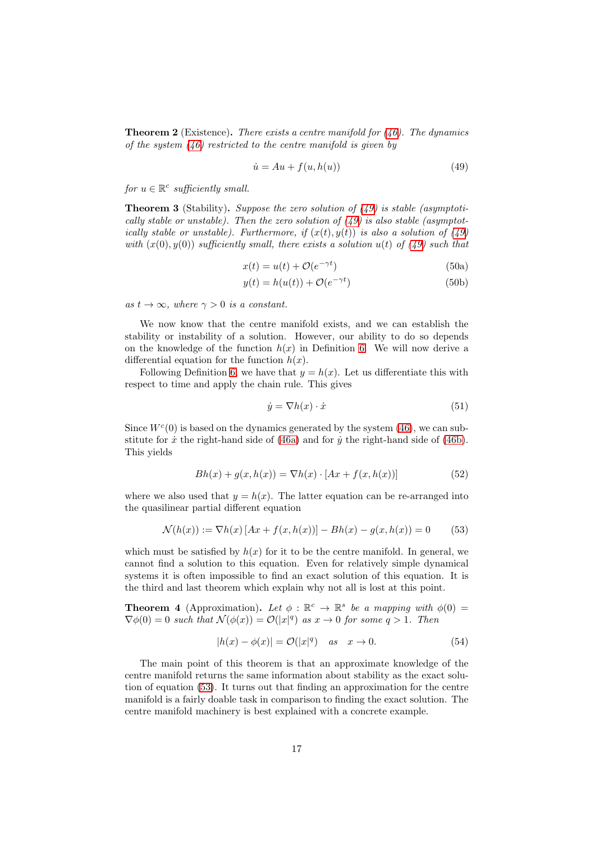<span id="page-16-2"></span>**Theorem 2** (Existence). There exists a centre manifold for  $(46)$ . The dynamics of the system  $(46)$  restricted to the centre manifold is given by

<span id="page-16-0"></span>
$$
\dot{u} = Au + f(u, h(u))\tag{49}
$$

for  $u \in \mathbb{R}^c$  sufficiently small.

**Theorem 3** (Stability). Suppose the zero solution of  $(49)$  is stable (asymptotically stable or unstable). Then the zero solution of  $(49)$  is also stable (asymptotically stable or unstable). Furthermore, if  $(x(t), y(t))$  is also a solution of [\(49\)](#page-16-0) with  $(x(0), y(0))$  sufficiently small, there exists a solution  $u(t)$  of  $(49)$  such that

$$
x(t) = u(t) + \mathcal{O}(e^{-\gamma t})
$$
\n(50a)

$$
y(t) = h(u(t)) + \mathcal{O}(e^{-\gamma t})
$$
\n(50b)

as  $t \to \infty$ , where  $\gamma > 0$  is a constant.

We now know that the centre manifold exists, and we can establish the stability or instability of a solution. However, our ability to do so depends on the knowledge of the function  $h(x)$  in Definition [6.](#page-15-3) We will now derive a differential equation for the function  $h(x)$ .

Following Definition [6,](#page-15-3) we have that  $y = h(x)$ . Let us differentiate this with respect to time and apply the chain rule. This gives

<span id="page-16-1"></span>
$$
\dot{y} = \nabla h(x) \cdot \dot{x} \tag{51}
$$

Since  $W<sup>c</sup>(0)$  is based on the dynamics generated by the system [\(46\)](#page-15-2), we can substitute for  $\dot{x}$  the right-hand side of [\(46a\)](#page-15-4) and for  $\dot{y}$  the right-hand side of [\(46b\)](#page-15-5). This yields

$$
Bh(x) + g(x, h(x)) = \nabla h(x) \cdot [Ax + f(x, h(x))]
$$
 (52)

where we also used that  $y = h(x)$ . The latter equation can be re-arranged into the quasilinear partial different equation

$$
\mathcal{N}(h(x)) := \nabla h(x) \left[ Ax + f(x, h(x)) \right] - Bh(x) - g(x, h(x)) = 0 \tag{53}
$$

which must be satisfied by  $h(x)$  for it to be the centre manifold. In general, we cannot find a solution to this equation. Even for relatively simple dynamical systems it is often impossible to find an exact solution of this equation. It is the third and last theorem which explain why not all is lost at this point.

<span id="page-16-3"></span>**Theorem 4** (Approximation). Let  $\phi : \mathbb{R}^c \to \mathbb{R}^s$  be a mapping with  $\phi(0) =$  $\nabla \phi(0) = 0$  such that  $\mathcal{N}(\phi(x)) = \mathcal{O}(|x|^q)$  as  $x \to 0$  for some  $q > 1$ . Then

$$
|h(x) - \phi(x)| = \mathcal{O}(|x|^q) \quad \text{as} \quad x \to 0. \tag{54}
$$

The main point of this theorem is that an approximate knowledge of the centre manifold returns the same information about stability as the exact solution of equation [\(53\)](#page-16-1). It turns out that finding an approximation for the centre manifold is a fairly doable task in comparison to finding the exact solution. The centre manifold machinery is best explained with a concrete example.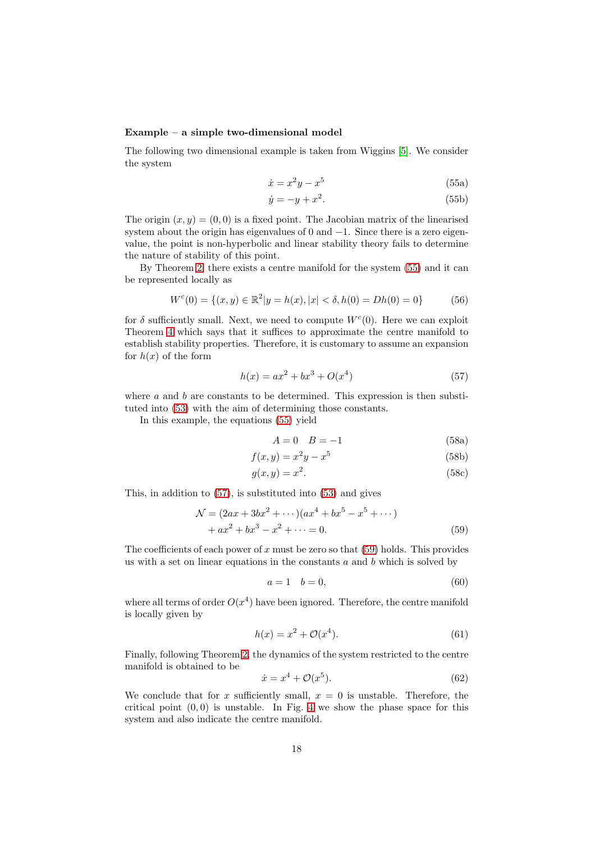#### Example – a simple two-dimensional model

<span id="page-17-0"></span>The following two dimensional example is taken from Wiggins [\[5\]](#page-27-4). We consider the system

$$
\dot{x} = x^2 y - x^5 \tag{55a}
$$

$$
\dot{y} = -y + x^2. \tag{55b}
$$

The origin  $(x, y) = (0, 0)$  is a fixed point. The Jacobian matrix of the linearised system about the origin has eigenvalues of 0 and −1. Since there is a zero eigenvalue, the point is non-hyperbolic and linear stability theory fails to determine the nature of stability of this point.

By Theorem [2,](#page-16-2) there exists a centre manifold for the system [\(55\)](#page-17-0) and it can be represented locally as

$$
W^{c}(0) = \{(x, y) \in \mathbb{R}^{2} | y = h(x), |x| < \delta, h(0) = Dh(0) = 0\}
$$
 (56)

for  $\delta$  sufficiently small. Next, we need to compute  $W^c(0)$ . Here we can exploit Theorem [4](#page-16-3) which says that it suffices to approximate the centre manifold to establish stability properties. Therefore, it is customary to assume an expansion for  $h(x)$  of the form

$$
h(x) = ax^2 + bx^3 + O(x^4)
$$
\n(57)

where a and b are constants to be determined. This expression is then substituted into [\(53\)](#page-16-1) with the aim of determining those constants.

In this example, the equations [\(55\)](#page-17-0) yield

<span id="page-17-1"></span>
$$
A = 0 \quad B = -1 \tag{58a}
$$

$$
f(x, y) = x^2y - x^5
$$
 (58b)

$$
g(x, y) = x^2. \tag{58c}
$$

This, in addition to [\(57\)](#page-17-1), is substituted into [\(53\)](#page-16-1) and gives

$$
\mathcal{N} = (2ax + 3bx^{2} + \cdots)(ax^{4} + bx^{5} - x^{5} + \cdots)
$$
  
+ ax<sup>2</sup> + bx<sup>3</sup> - x<sup>2</sup> + \cdots = 0. (59)

The coefficients of each power of x must be zero so that  $(59)$  holds. This provides us with a set on linear equations in the constants  $a$  and  $b$  which is solved by

<span id="page-17-2"></span>
$$
a = 1 \quad b = 0,\tag{60}
$$

where all terms of order  $O(x^4)$  have been ignored. Therefore, the centre manifold is locally given by

$$
h(x) = x^2 + \mathcal{O}(x^4).
$$
 (61)

Finally, following Theorem [2,](#page-16-2) the dynamics of the system restricted to the centre manifold is obtained to be

$$
\dot{x} = x^4 + \mathcal{O}(x^5). \tag{62}
$$

We conclude that for x sufficiently small,  $x = 0$  is unstable. Therefore, the critical point  $(0, 0)$  is unstable. In Fig. [4](#page-18-1) we show the phase space for this system and also indicate the centre manifold.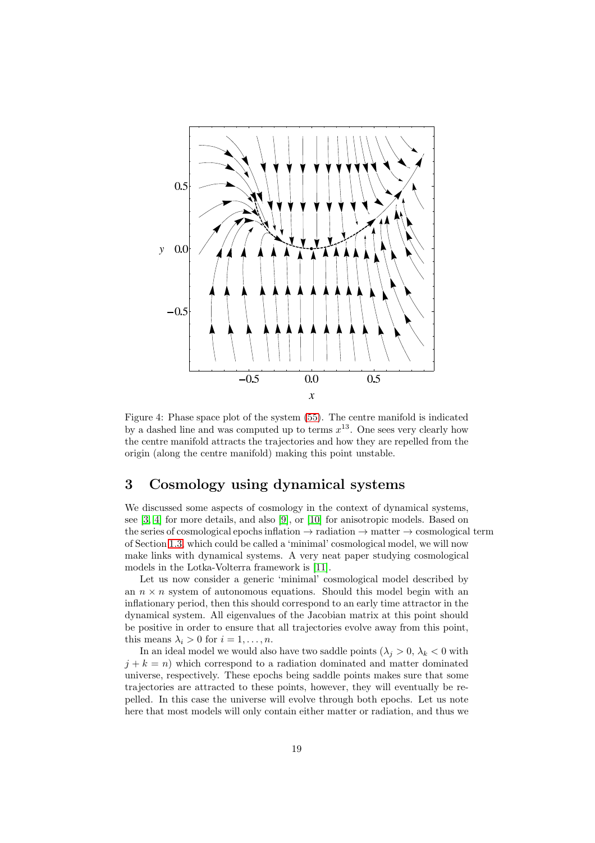

<span id="page-18-1"></span>Figure 4: Phase space plot of the system [\(55\)](#page-17-0). The centre manifold is indicated by a dashed line and was computed up to terms  $x^{13}$ . One sees very clearly how the centre manifold attracts the trajectories and how they are repelled from the origin (along the centre manifold) making this point unstable.

## <span id="page-18-0"></span>3 Cosmology using dynamical systems

We discussed some aspects of cosmology in the context of dynamical systems, see [\[3,](#page-27-2) [4\]](#page-27-3) for more details, and also [\[9\]](#page-27-8), or [\[10\]](#page-27-9) for anisotropic models. Based on the series of cosmological epochs inflation  $\rightarrow$  radiation  $\rightarrow$  matter  $\rightarrow$  cosmological term of Section [1.3,](#page-4-1) which could be called a 'minimal' cosmological model, we will now make links with dynamical systems. A very neat paper studying cosmological models in the Lotka-Volterra framework is [\[11\]](#page-27-10).

Let us now consider a generic 'minimal' cosmological model described by an  $n \times n$  system of autonomous equations. Should this model begin with an inflationary period, then this should correspond to an early time attractor in the dynamical system. All eigenvalues of the Jacobian matrix at this point should be positive in order to ensure that all trajectories evolve away from this point, this means  $\lambda_i > 0$  for  $i = 1, \ldots, n$ .

In an ideal model we would also have two saddle points  $(\lambda_j > 0, \lambda_k < 0$  with  $j + k = n$ ) which correspond to a radiation dominated and matter dominated universe, respectively. These epochs being saddle points makes sure that some trajectories are attracted to these points, however, they will eventually be repelled. In this case the universe will evolve through both epochs. Let us note here that most models will only contain either matter or radiation, and thus we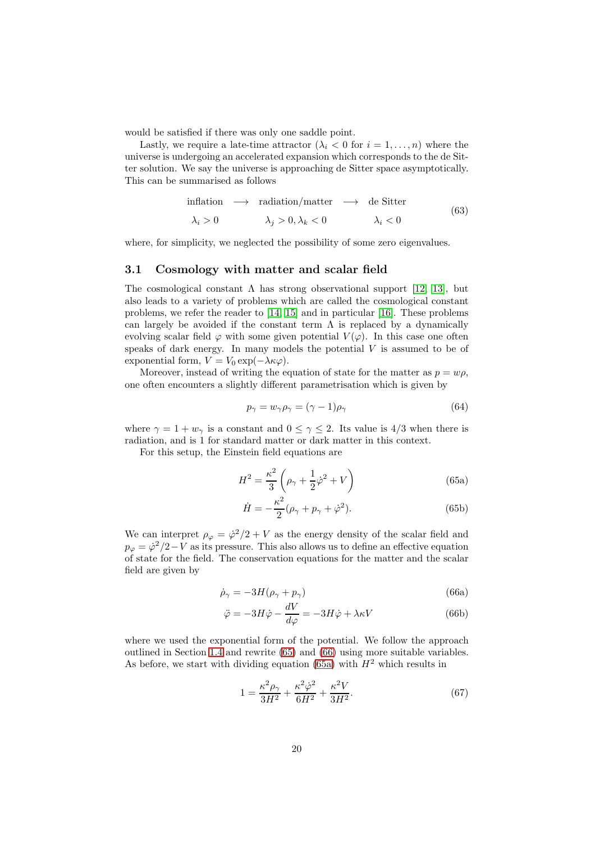would be satisfied if there was only one saddle point.

Lastly, we require a late-time attractor  $(\lambda_i < 0$  for  $i = 1, \ldots, n)$  where the universe is undergoing an accelerated expansion which corresponds to the de Sitter solution. We say the universe is approaching de Sitter space asymptotically. This can be summarised as follows

<span id="page-19-7"></span>inflation 
$$
\longrightarrow
$$
 radiation/matter  $\longrightarrow$  de Sitter  
\n $\lambda_i > 0$   $\lambda_j > 0, \lambda_k < 0$   $\lambda_i < 0$  (63)

where, for simplicity, we neglected the possibility of some zero eigenvalues.

### <span id="page-19-0"></span>3.1 Cosmology with matter and scalar field

The cosmological constant  $\Lambda$  has strong observational support [\[12,](#page-27-11) [13\]](#page-27-12), but also leads to a variety of problems which are called the cosmological constant problems, we refer the reader to [\[14,](#page-27-13) [15\]](#page-27-14) and in particular [\[16\]](#page-27-15). These problems can largely be avoided if the constant term  $\Lambda$  is replaced by a dynamically evolving scalar field  $\varphi$  with some given potential  $V(\varphi)$ . In this case one often speaks of dark energy. In many models the potential  $V$  is assumed to be of exponential form,  $V = V_0 \exp(-\lambda \kappa \varphi)$ .

Moreover, instead of writing the equation of state for the matter as  $p = w\rho$ , one often encounters a slightly different parametrisation which is given by

$$
p_{\gamma} = w_{\gamma} \rho_{\gamma} = (\gamma - 1)\rho_{\gamma} \tag{64}
$$

where  $\gamma = 1 + w_{\gamma}$  is a constant and  $0 \leq \gamma \leq 2$ . Its value is 4/3 when there is radiation, and is 1 for standard matter or dark matter in this context.

For this setup, the Einstein field equations are

<span id="page-19-1"></span>
$$
H^2 = \frac{\kappa^2}{3} \left( \rho_\gamma + \frac{1}{2} \dot{\varphi}^2 + V \right) \tag{65a}
$$

<span id="page-19-6"></span><span id="page-19-3"></span>
$$
\dot{H} = -\frac{\kappa^2}{2}(\rho_\gamma + p_\gamma + \dot{\varphi}^2). \tag{65b}
$$

We can interpret  $\rho_{\varphi} = \dot{\varphi}^2/2 + V$  as the energy density of the scalar field and  $p_{\varphi} = \dot{\varphi}^2/2 - V$  as its pressure. This also allows us to define an effective equation of state for the field. The conservation equations for the matter and the scalar field are given by

<span id="page-19-2"></span>
$$
\dot{\rho}_{\gamma} = -3H(\rho_{\gamma} + p_{\gamma})\tag{66a}
$$

$$
\ddot{\varphi} = -3H\dot{\varphi} - \frac{dV}{d\varphi} = -3H\dot{\varphi} + \lambda\kappa V \tag{66b}
$$

where we used the exponential form of the potential. We follow the approach outlined in Section [1.4](#page-5-0) and rewrite [\(65\)](#page-19-1) and [\(66\)](#page-19-2) using more suitable variables. As before, we start with dividing equation [\(65a\)](#page-19-3) with  $H^2$  which results in

<span id="page-19-5"></span><span id="page-19-4"></span>
$$
1 = \frac{\kappa^2 \rho_\gamma}{3H^2} + \frac{\kappa^2 \dot{\varphi}^2}{6H^2} + \frac{\kappa^2 V}{3H^2}.
$$
 (67)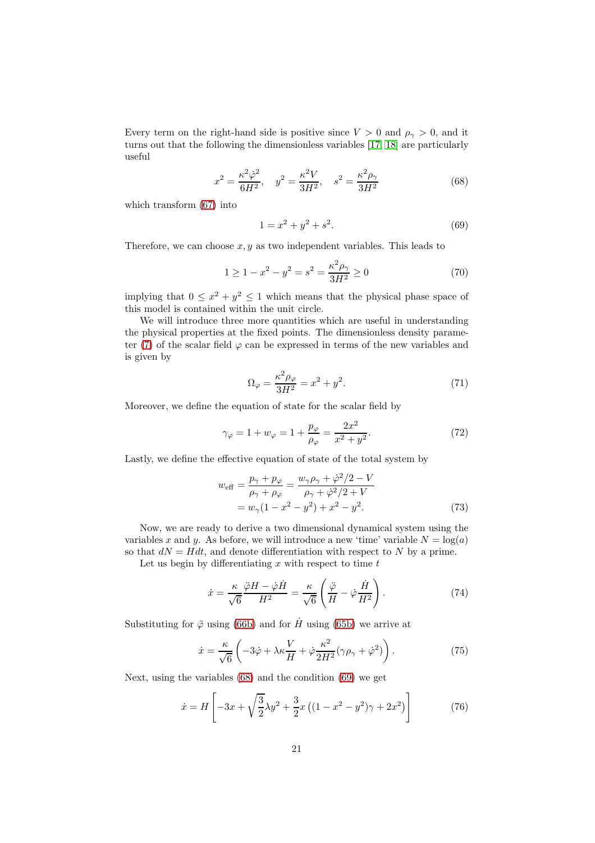Every term on the right-hand side is positive since  $V > 0$  and  $\rho_{\gamma} > 0$ , and it turns out that the following the dimensionless variables [\[17,](#page-28-0) [18\]](#page-28-1) are particularly useful

$$
x^{2} = \frac{\kappa^{2} \dot{\varphi}^{2}}{6H^{2}}, \quad y^{2} = \frac{\kappa^{2} V}{3H^{2}}, \quad s^{2} = \frac{\kappa^{2} \rho_{\gamma}}{3H^{2}}
$$
(68)

which transform [\(67\)](#page-19-4) into

<span id="page-20-1"></span><span id="page-20-0"></span>
$$
1 = x^2 + y^2 + s^2. \tag{69}
$$

Therefore, we can choose  $x, y$  as two independent variables. This leads to

$$
1 \ge 1 - x^2 - y^2 = s^2 = \frac{\kappa^2 \rho_\gamma}{3H^2} \ge 0 \tag{70}
$$

implying that  $0 \leq x^2 + y^2 \leq 1$  which means that the physical phase space of this model is contained within the unit circle.

We will introduce three more quantities which are useful in understanding the physical properties at the fixed points. The dimensionless density parame-ter [\(7\)](#page-3-2) of the scalar field  $\varphi$  can be expressed in terms of the new variables and is given by

$$
\Omega_{\varphi} = \frac{\kappa^2 \rho_{\varphi}}{3H^2} = x^2 + y^2. \tag{71}
$$

Moreover, we define the equation of state for the scalar field by

$$
\gamma_{\varphi} = 1 + w_{\varphi} = 1 + \frac{p_{\varphi}}{\rho_{\varphi}} = \frac{2x^2}{x^2 + y^2}.
$$
 (72)

Lastly, we define the effective equation of state of the total system by

$$
w_{\text{eff}} = \frac{p_{\gamma} + p_{\varphi}}{\rho_{\gamma} + \rho_{\varphi}} = \frac{w_{\gamma}\rho_{\gamma} + \dot{\varphi}^{2}/2 - V}{\rho_{\gamma} + \dot{\varphi}^{2}/2 + V} = w_{\gamma}(1 - x^{2} - y^{2}) + x^{2} - y^{2}.
$$
 (73)

Now, we are ready to derive a two dimensional dynamical system using the variables x and y. As before, we will introduce a new 'time' variable  $N = \log(a)$ so that  $dN = Hdt$ , and denote differentiation with respect to N by a prime.

Let us begin by differentiating  $x$  with respect to time  $t$ 

$$
\dot{x} = \frac{\kappa}{\sqrt{6}} \frac{\ddot{\varphi} H - \dot{\varphi} \dot{H}}{H^2} = \frac{\kappa}{\sqrt{6}} \left( \frac{\ddot{\varphi}}{H} - \dot{\varphi} \frac{\dot{H}}{H^2} \right). \tag{74}
$$

Substituting for  $\ddot{\varphi}$  using [\(66b\)](#page-19-5) and for  $\dot{H}$  using [\(65b\)](#page-19-6) we arrive at

$$
\dot{x} = \frac{\kappa}{\sqrt{6}} \left( -3\dot{\varphi} + \lambda \kappa \frac{V}{H} + \dot{\varphi} \frac{\kappa^2}{2H^2} (\gamma \rho_\gamma + \dot{\varphi}^2) \right). \tag{75}
$$

Next, using the variables [\(68\)](#page-20-0) and the condition [\(69\)](#page-20-1) we get

$$
\dot{x} = H \left[ -3x + \sqrt{\frac{3}{2}} \lambda y^2 + \frac{3}{2} x \left( (1 - x^2 - y^2) \gamma + 2x^2 \right) \right]
$$
(76)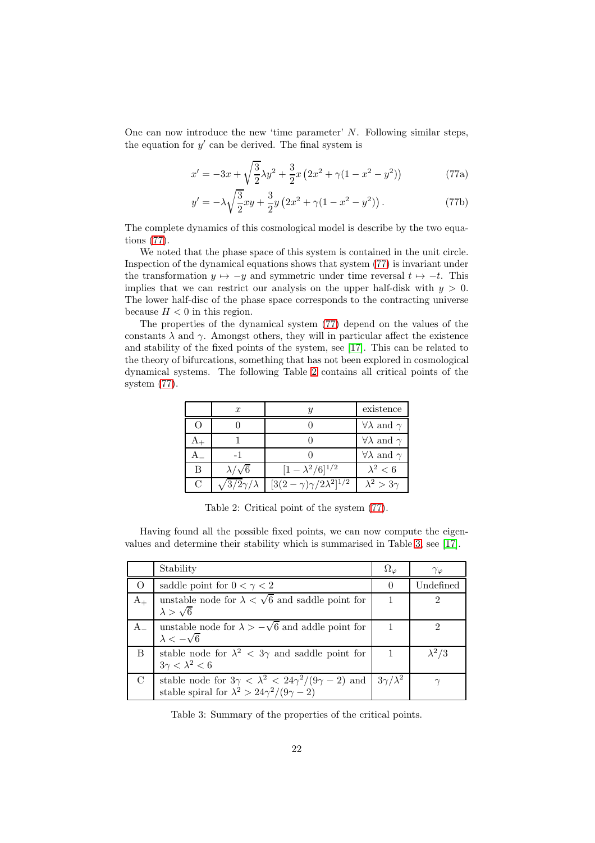One can now introduce the new 'time parameter'  $N$ . Following similar steps, the equation for  $y'$  can be derived. The final system is

<span id="page-21-0"></span>
$$
x' = -3x + \sqrt{\frac{3}{2}}\lambda y^2 + \frac{3}{2}x(2x^2 + \gamma(1 - x^2 - y^2))
$$
 (77a)

$$
y' = -\lambda \sqrt{\frac{3}{2}}xy + \frac{3}{2}y(2x^2 + \gamma(1 - x^2 - y^2)).
$$
 (77b)

The complete dynamics of this cosmological model is describe by the two equations [\(77\)](#page-21-0).

We noted that the phase space of this system is contained in the unit circle. Inspection of the dynamical equations shows that system [\(77\)](#page-21-0) is invariant under the transformation  $y \mapsto -y$  and symmetric under time reversal  $t \mapsto -t$ . This implies that we can restrict our analysis on the upper half-disk with  $y > 0$ . The lower half-disc of the phase space corresponds to the contracting universe because  $H < 0$  in this region.

The properties of the dynamical system [\(77\)](#page-21-0) depend on the values of the constants  $\lambda$  and  $\gamma$ . Amongst others, they will in particular affect the existence and stability of the fixed points of the system, see [\[17\]](#page-28-0). This can be related to the theory of bifurcations, something that has not been explored in cosmological dynamical systems. The following Table [2](#page-21-1) contains all critical points of the system [\(77\)](#page-21-0).

|   | $\boldsymbol{x}$    | и                                      | existence                      |
|---|---------------------|----------------------------------------|--------------------------------|
| ∩ |                     |                                        | $\forall \lambda$ and $\gamma$ |
|   |                     |                                        | $\forall \lambda$ and $\gamma$ |
|   | $-1$                |                                        | $\forall \lambda$ and $\gamma$ |
| в | $\lambda/\sqrt{6}$  | $[1 - \lambda^2/6]^{1/2}$              | $\lambda^2 < 6$                |
| C | $3/2\gamma/\lambda$ | $[3(2-\gamma)\gamma/2\lambda^2]^{1/2}$ | $\lambda^2 > 3\gamma$          |

<span id="page-21-1"></span>Table 2: Critical point of the system [\(77\)](#page-21-0).

Having found all the possible fixed points, we can now compute the eigenvalues and determine their stability which is summarised in Table [3,](#page-21-2) see [\[17\]](#page-28-0).

|               | Stability                                                                                                                                                 | $\Omega_{\varphi}$ | $\gamma_{\varphi}$ |
|---------------|-----------------------------------------------------------------------------------------------------------------------------------------------------------|--------------------|--------------------|
|               | saddle point for $0 < \gamma < 2$                                                                                                                         | $\left( \right)$   | Undefined          |
| $A_{+}$       | unstable node for $\lambda < \sqrt{6}$ and saddle point for<br>$\lambda > \sqrt{6}$                                                                       |                    | 2                  |
|               | unstable node for $\lambda > -\sqrt{6}$ and addle point for<br>$\lambda < -\sqrt{6}$                                                                      |                    | 2                  |
| B             | stable node for $\lambda^2$ < 3 $\gamma$ and saddle point for<br>$3\gamma < \lambda^2 < 6$                                                                |                    | $\lambda^2/3$      |
| $\mathcal{C}$ | stable node for $3\gamma < \lambda^2 < 24\gamma^2/(9\gamma - 2)$ and $\int 3\gamma/\lambda^2$<br>stable spiral for $\lambda^2 > 24\gamma^2/(9\gamma - 2)$ |                    |                    |

<span id="page-21-2"></span>Table 3: Summary of the properties of the critical points.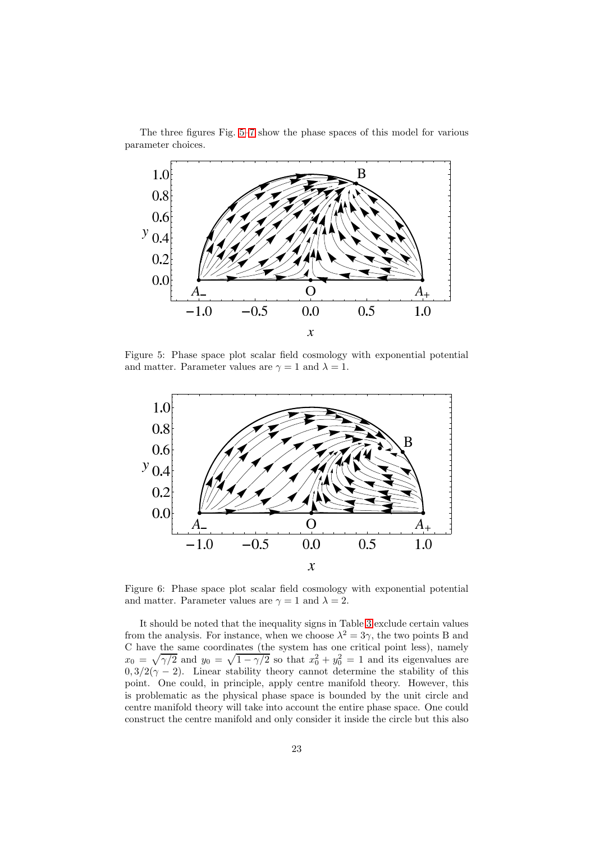

The three figures Fig. [5–](#page-22-0)[7](#page-23-0) show the phase spaces of this model for various parameter choices.

Figure 5: Phase space plot scalar field cosmology with exponential potential and matter. Parameter values are  $\gamma = 1$  and  $\lambda = 1$ .

<span id="page-22-0"></span>

Figure 6: Phase space plot scalar field cosmology with exponential potential and matter. Parameter values are  $\gamma = 1$  and  $\lambda = 2$ .

It should be noted that the inequality signs in Table [3](#page-21-2) exclude certain values from the analysis. For instance, when we choose  $\lambda^2 = 3\gamma$ , the two points B and C have the same coordinates (the system has one critical point less), namely  $x_0 = \sqrt{\gamma/2}$  and  $y_0 = \sqrt{1-\gamma/2}$  so that  $x_0^2 + y_0^2 = 1$  and its eigenvalues are  $0, 3/2(\gamma - 2)$ . Linear stability theory cannot determine the stability of this point. One could, in principle, apply centre manifold theory. However, this is problematic as the physical phase space is bounded by the unit circle and centre manifold theory will take into account the entire phase space. One could construct the centre manifold and only consider it inside the circle but this also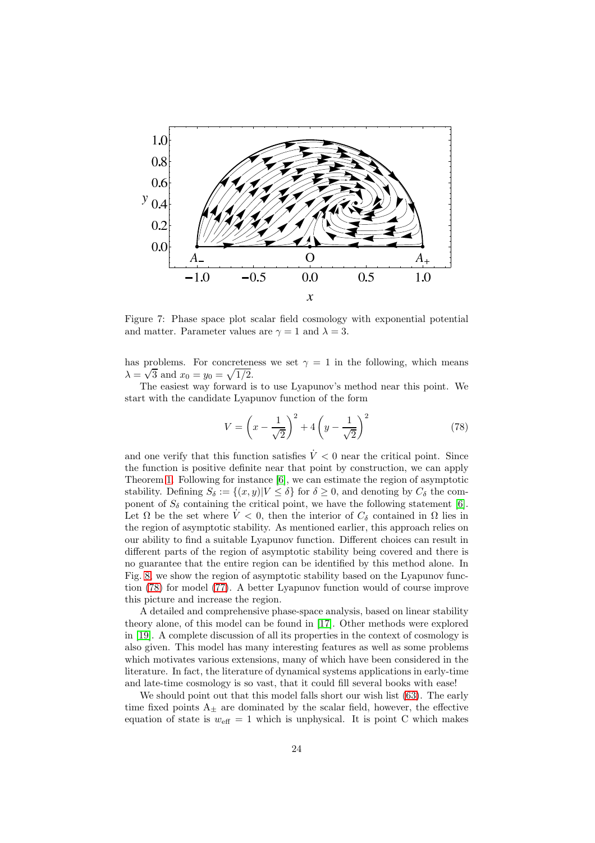

<span id="page-23-0"></span>Figure 7: Phase space plot scalar field cosmology with exponential potential and matter. Parameter values are  $\gamma = 1$  and  $\lambda = 3$ .

has problems. For concreteness we set  $\gamma = 1$  in the following, which means  $\lambda = \sqrt{3}$  and  $x_0 = y_0 = \sqrt{1/2}$ .

The easiest way forward is to use Lyapunov's method near this point. We start with the candidate Lyapunov function of the form

<span id="page-23-1"></span>
$$
V = \left(x - \frac{1}{\sqrt{2}}\right)^2 + 4\left(y - \frac{1}{\sqrt{2}}\right)^2\tag{78}
$$

and one verify that this function satisfies  $\dot{V} < 0$  near the critical point. Since the function is positive definite near that point by construction, we can apply Theorem [1.](#page-13-0) Following for instance [\[6\]](#page-27-5), we can estimate the region of asymptotic stability. Defining  $S_{\delta} := \{(x, y) | V \leq \delta\}$  for  $\delta \geq 0$ , and denoting by  $C_{\delta}$  the component of  $S_{\delta}$  containing the critical point, we have the following statement [\[6\]](#page-27-5). Let  $\Omega$  be the set where  $\dot{V} < 0$ , then the interior of  $C_{\delta}$  contained in  $\Omega$  lies in the region of asymptotic stability. As mentioned earlier, this approach relies on our ability to find a suitable Lyapunov function. Different choices can result in different parts of the region of asymptotic stability being covered and there is no guarantee that the entire region can be identified by this method alone. In Fig. [8,](#page-24-1) we show the region of asymptotic stability based on the Lyapunov function [\(78\)](#page-23-1) for model [\(77\)](#page-21-0). A better Lyapunov function would of course improve this picture and increase the region.

A detailed and comprehensive phase-space analysis, based on linear stability theory alone, of this model can be found in [\[17\]](#page-28-0). Other methods were explored in [\[19\]](#page-28-2). A complete discussion of all its properties in the context of cosmology is also given. This model has many interesting features as well as some problems which motivates various extensions, many of which have been considered in the literature. In fact, the literature of dynamical systems applications in early-time and late-time cosmology is so vast, that it could fill several books with ease!

We should point out that this model falls short our wish list [\(63\)](#page-19-7). The early time fixed points  $A_{+}$  are dominated by the scalar field, however, the effective equation of state is  $w_{\text{eff}} = 1$  which is unphysical. It is point C which makes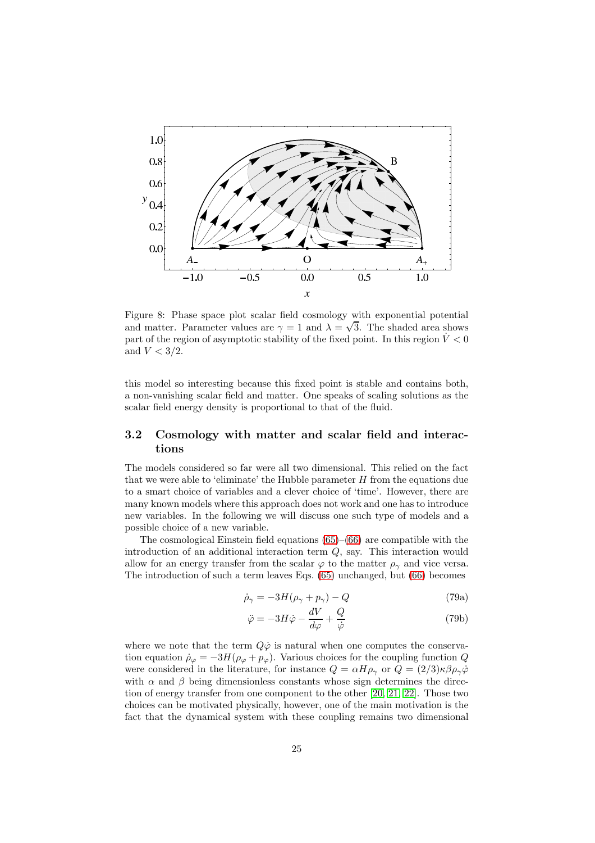

<span id="page-24-1"></span>Figure 8: Phase space plot scalar field cosmology with exponential potential and matter. Parameter values are  $\gamma = 1$  and  $\lambda = \sqrt{3}$ . The shaded area shows part of the region of asymptotic stability of the fixed point. In this region  $\dot{V} < 0$ and  $V < 3/2$ .

this model so interesting because this fixed point is stable and contains both, a non-vanishing scalar field and matter. One speaks of scaling solutions as the scalar field energy density is proportional to that of the fluid.

## <span id="page-24-0"></span>3.2 Cosmology with matter and scalar field and interactions

The models considered so far were all two dimensional. This relied on the fact that we were able to 'eliminate' the Hubble parameter  $H$  from the equations due to a smart choice of variables and a clever choice of 'time'. However, there are many known models where this approach does not work and one has to introduce new variables. In the following we will discuss one such type of models and a possible choice of a new variable.

The cosmological Einstein field equations [\(65\)](#page-19-1)–[\(66\)](#page-19-2) are compatible with the introduction of an additional interaction term Q, say. This interaction would allow for an energy transfer from the scalar  $\varphi$  to the matter  $\rho_{\gamma}$  and vice versa. The introduction of such a term leaves Eqs. [\(65\)](#page-19-1) unchanged, but [\(66\)](#page-19-2) becomes

$$
\dot{\rho}_{\gamma} = -3H(\rho_{\gamma} + p_{\gamma}) - Q \tag{79a}
$$

$$
\ddot{\varphi} = -3H\dot{\varphi} - \frac{dV}{d\varphi} + \frac{Q}{\dot{\varphi}}\tag{79b}
$$

where we note that the term  $Q\dot{\varphi}$  is natural when one computes the conservation equation  $\dot{\rho}_{\varphi} = -3H(\rho_{\varphi} + p_{\varphi})$ . Various choices for the coupling function Q were considered in the literature, for instance  $Q = \alpha H \rho_{\gamma}$  or  $Q = (2/3)\kappa \beta \rho_{\gamma} \dot{\varphi}$ with  $\alpha$  and  $\beta$  being dimensionless constants whose sign determines the direction of energy transfer from one component to the other [\[20,](#page-28-3) [21,](#page-28-4) [22\]](#page-28-5). Those two choices can be motivated physically, however, one of the main motivation is the fact that the dynamical system with these coupling remains two dimensional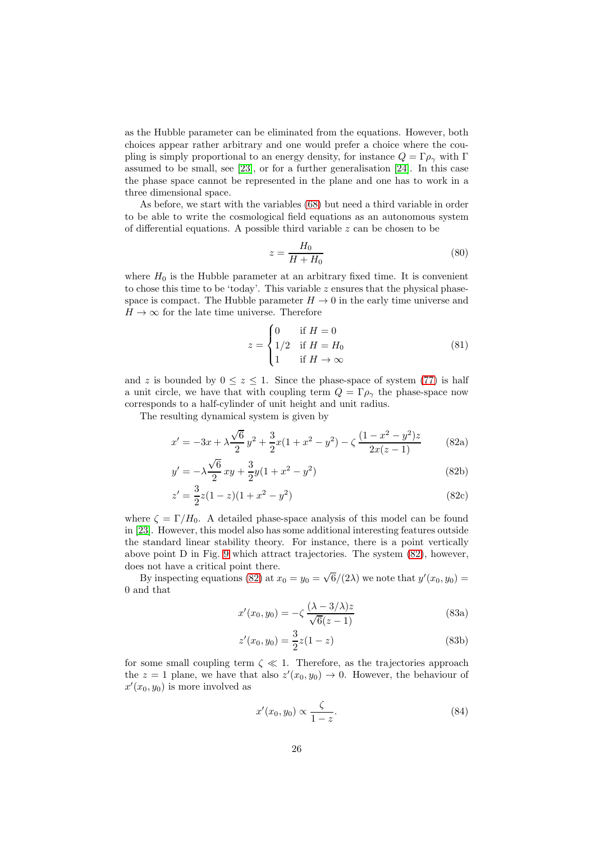as the Hubble parameter can be eliminated from the equations. However, both choices appear rather arbitrary and one would prefer a choice where the coupling is simply proportional to an energy density, for instance  $Q = \Gamma \rho_{\gamma}$  with  $\Gamma$ assumed to be small, see [\[23\]](#page-28-6), or for a further generalisation [\[24\]](#page-28-7). In this case the phase space cannot be represented in the plane and one has to work in a three dimensional space.

As before, we start with the variables [\(68\)](#page-20-0) but need a third variable in order to be able to write the cosmological field equations as an autonomous system of differential equations. A possible third variable  $z$  can be chosen to be

$$
z = \frac{H_0}{H + H_0} \tag{80}
$$

where  $H_0$  is the Hubble parameter at an arbitrary fixed time. It is convenient to chose this time to be 'today'. This variable z ensures that the physical phasespace is compact. The Hubble parameter  $H \to 0$  in the early time universe and  $H \to \infty$  for the late time universe. Therefore

<span id="page-25-0"></span>
$$
z = \begin{cases} 0 & \text{if } H = 0\\ 1/2 & \text{if } H = H_0\\ 1 & \text{if } H \to \infty \end{cases}
$$
(81)

and z is bounded by  $0 \leq z \leq 1$ . Since the phase-space of system [\(77\)](#page-21-0) is half a unit circle, we have that with coupling term  $Q = \Gamma \rho_{\gamma}$  the phase-space now corresponds to a half-cylinder of unit height and unit radius.

The resulting dynamical system is given by

$$
x' = -3x + \lambda \frac{\sqrt{6}}{2}y^2 + \frac{3}{2}x(1+x^2-y^2) - \zeta \frac{(1-x^2-y^2)z}{2x(z-1)}
$$
(82a)

$$
y' = -\lambda \frac{\sqrt{6}}{2} xy + \frac{3}{2} y (1 + x^2 - y^2)
$$
 (82b)

$$
z' = \frac{3}{2}z(1-z)(1+x^2-y^2)
$$
\n(82c)

where  $\zeta = \Gamma/H_0$ . A detailed phase-space analysis of this model can be found in [\[23\]](#page-28-6). However, this model also has some additional interesting features outside the standard linear stability theory. For instance, there is a point vertically above point D in Fig. [9](#page-26-1) which attract trajectories. The system [\(82\)](#page-25-0), however, does not have a critical point there.

By inspecting equations [\(82\)](#page-25-0) at  $x_0 = y_0 = \sqrt{6}/(2\lambda)$  we note that  $y'(x_0, y_0) =$ 0 and that

$$
x'(x_0, y_0) = -\zeta \frac{(\lambda - 3/\lambda)z}{\sqrt{6}(z - 1)}
$$
(83a)

$$
z'(x_0, y_0) = \frac{3}{2}z(1-z)
$$
\n(83b)

for some small coupling term  $\zeta \ll 1$ . Therefore, as the trajectories approach the  $z = 1$  plane, we have that also  $z'(x_0, y_0) \to 0$ . However, the behaviour of  $x'(x_0, y_0)$  is more involved as

$$
x'(x_0, y_0) \propto \frac{\zeta}{1 - z}.\tag{84}
$$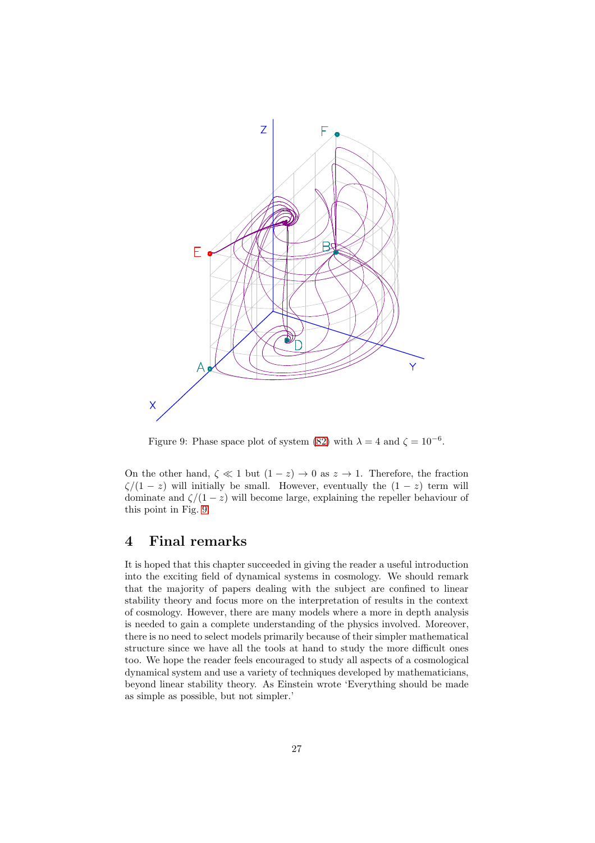

<span id="page-26-1"></span>Figure 9: Phase space plot of system [\(82\)](#page-25-0) with  $\lambda = 4$  and  $\zeta = 10^{-6}$ .

On the other hand,  $\zeta \ll 1$  but  $(1-z) \rightarrow 0$  as  $z \rightarrow 1$ . Therefore, the fraction  $\zeta/(1-z)$  will initially be small. However, eventually the  $(1-z)$  term will dominate and  $\zeta/(1-z)$  will become large, explaining the repeller behaviour of this point in Fig. [9.](#page-26-1)

## <span id="page-26-0"></span>4 Final remarks

It is hoped that this chapter succeeded in giving the reader a useful introduction into the exciting field of dynamical systems in cosmology. We should remark that the majority of papers dealing with the subject are confined to linear stability theory and focus more on the interpretation of results in the context of cosmology. However, there are many models where a more in depth analysis is needed to gain a complete understanding of the physics involved. Moreover, there is no need to select models primarily because of their simpler mathematical structure since we have all the tools at hand to study the more difficult ones too. We hope the reader feels encouraged to study all aspects of a cosmological dynamical system and use a variety of techniques developed by mathematicians, beyond linear stability theory. As Einstein wrote 'Everything should be made as simple as possible, but not simpler.'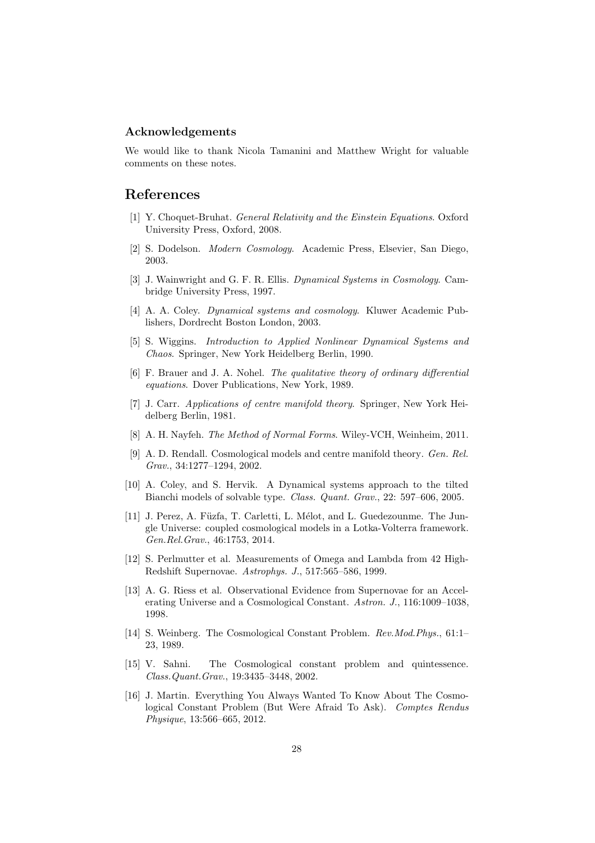## Acknowledgements

We would like to thank Nicola Tamanini and Matthew Wright for valuable comments on these notes.

## <span id="page-27-0"></span>References

- <span id="page-27-1"></span>[1] Y. Choquet-Bruhat. General Relativity and the Einstein Equations. Oxford University Press, Oxford, 2008.
- <span id="page-27-2"></span>[2] S. Dodelson. Modern Cosmology. Academic Press, Elsevier, San Diego, 2003.
- [3] J. Wainwright and G. F. R. Ellis. Dynamical Systems in Cosmology. Cambridge University Press, 1997.
- <span id="page-27-4"></span><span id="page-27-3"></span>[4] A. A. Coley. Dynamical systems and cosmology. Kluwer Academic Publishers, Dordrecht Boston London, 2003.
- <span id="page-27-5"></span>[5] S. Wiggins. Introduction to Applied Nonlinear Dynamical Systems and Chaos. Springer, New York Heidelberg Berlin, 1990.
- [6] F. Brauer and J. A. Nohel. The qualitative theory of ordinary differential equations. Dover Publications, New York, 1989.
- <span id="page-27-6"></span>[7] J. Carr. Applications of centre manifold theory. Springer, New York Heidelberg Berlin, 1981.
- <span id="page-27-8"></span><span id="page-27-7"></span>[8] A. H. Nayfeh. The Method of Normal Forms. Wiley-VCH, Weinheim, 2011.
- [9] A. D. Rendall. Cosmological models and centre manifold theory. Gen. Rel. Grav., 34:1277–1294, 2002.
- <span id="page-27-9"></span>[10] A. Coley, and S. Hervik. A Dynamical systems approach to the tilted Bianchi models of solvable type. Class. Quant. Grav., 22: 597–606, 2005.
- <span id="page-27-10"></span>[11] J. Perez, A. Füzfa, T. Carletti, L. Mélot, and L. Guedezounme. The Jungle Universe: coupled cosmological models in a Lotka-Volterra framework. Gen.Rel.Grav., 46:1753, 2014.
- <span id="page-27-11"></span>[12] S. Perlmutter et al. Measurements of Omega and Lambda from 42 High-Redshift Supernovae. Astrophys. J., 517:565–586, 1999.
- <span id="page-27-12"></span>[13] A. G. Riess et al. Observational Evidence from Supernovae for an Accelerating Universe and a Cosmological Constant. Astron. J., 116:1009–1038, 1998.
- <span id="page-27-13"></span>[14] S. Weinberg. The Cosmological Constant Problem. Rev.Mod.Phys., 61:1– 23, 1989.
- <span id="page-27-14"></span>[15] V. Sahni. The Cosmological constant problem and quintessence. Class.Quant.Grav., 19:3435–3448, 2002.
- <span id="page-27-15"></span>[16] J. Martin. Everything You Always Wanted To Know About The Cosmological Constant Problem (But Were Afraid To Ask). Comptes Rendus Physique, 13:566–665, 2012.